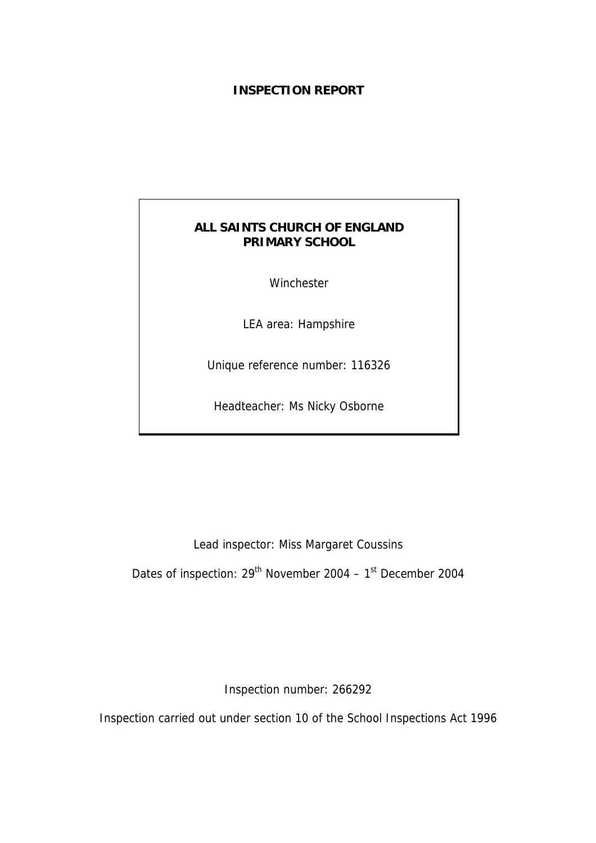## **INSPECTION REPORT**

# **ALL SAINTS CHURCH OF ENGLAND PRIMARY SCHOOL**

Winchester

LEA area: Hampshire

Unique reference number: 116326

Headteacher: Ms Nicky Osborne

Lead inspector: Miss Margaret Coussins

Dates of inspection: 29<sup>th</sup> November 2004 – 1<sup>st</sup> December 2004

Inspection number: 266292

Inspection carried out under section 10 of the School Inspections Act 1996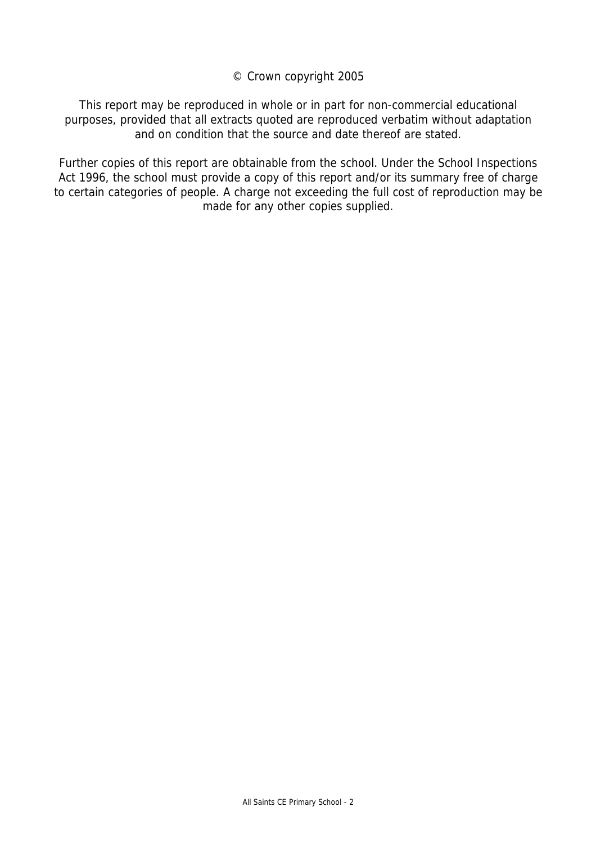© Crown copyright 2005

This report may be reproduced in whole or in part for non-commercial educational purposes, provided that all extracts quoted are reproduced verbatim without adaptation and on condition that the source and date thereof are stated.

Further copies of this report are obtainable from the school. Under the School Inspections Act 1996, the school must provide a copy of this report and/or its summary free of charge to certain categories of people. A charge not exceeding the full cost of reproduction may be made for any other copies supplied.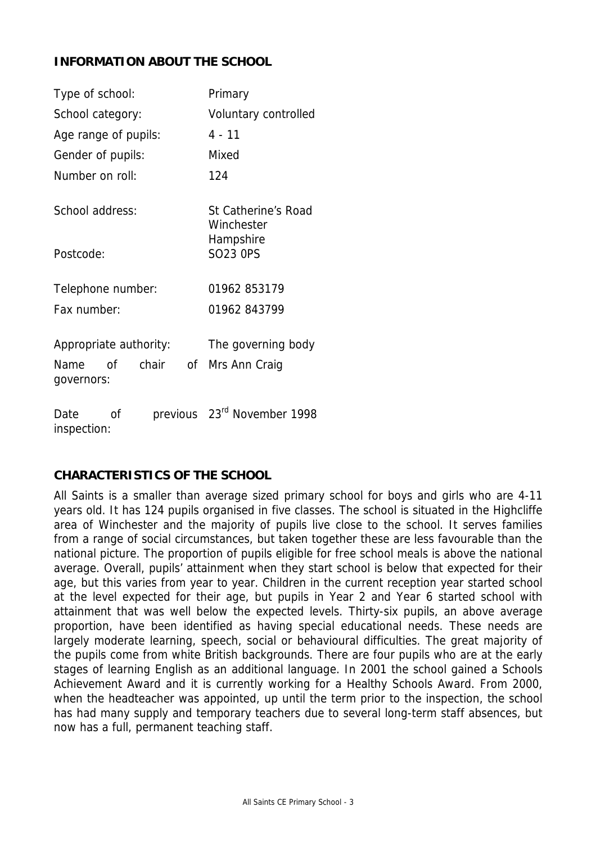# **INFORMATION ABOUT THE SCHOOL**

| Type of school:                                             | Primary                                 |  |
|-------------------------------------------------------------|-----------------------------------------|--|
| School category:                                            | Voluntary controlled                    |  |
| Age range of pupils:                                        | $4 - 11$                                |  |
| Gender of pupils:                                           | Mixed                                   |  |
| Number on roll:                                             | 124                                     |  |
| School address:                                             | St Catherine's Road<br>Winchester       |  |
| Postcode:                                                   | Hampshire<br><b>SO23 OPS</b>            |  |
| Telephone number:                                           | 01962 853179                            |  |
| Fax number:                                                 | 01962 843799                            |  |
| Appropriate authority:<br>chair<br>Name<br>Ωf<br>governors: | The governing body<br>of Mrs Ann Craig  |  |
| Date<br>οf<br>inspection:                                   | previous 23 <sup>rd</sup> November 1998 |  |

### **CHARACTERISTICS OF THE SCHOOL**

All Saints is a smaller than average sized primary school for boys and girls who are 4-11 years old. It has 124 pupils organised in five classes. The school is situated in the Highcliffe area of Winchester and the majority of pupils live close to the school. It serves families from a range of social circumstances, but taken together these are less favourable than the national picture. The proportion of pupils eligible for free school meals is above the national average. Overall, pupils' attainment when they start school is below that expected for their age, but this varies from year to year. Children in the current reception year started school at the level expected for their age, but pupils in Year 2 and Year 6 started school with attainment that was well below the expected levels. Thirty-six pupils, an above average proportion, have been identified as having special educational needs. These needs are largely moderate learning, speech, social or behavioural difficulties. The great majority of the pupils come from white British backgrounds. There are four pupils who are at the early stages of learning English as an additional language. In 2001 the school gained a Schools Achievement Award and it is currently working for a Healthy Schools Award. From 2000, when the headteacher was appointed, up until the term prior to the inspection, the school has had many supply and temporary teachers due to several long-term staff absences, but now has a full, permanent teaching staff.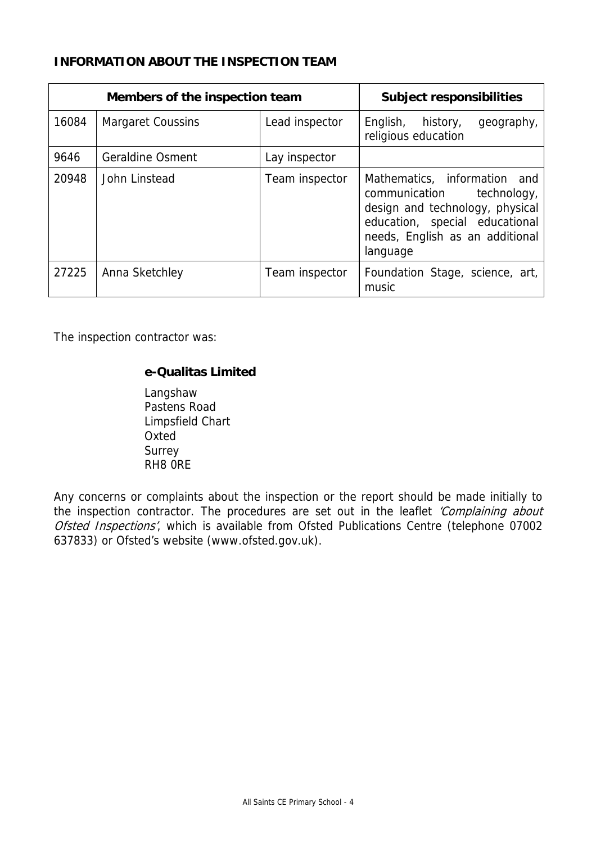# **INFORMATION ABOUT THE INSPECTION TEAM**

|       | Members of the inspection team | <b>Subject responsibilities</b> |                                                                                                                                                                               |
|-------|--------------------------------|---------------------------------|-------------------------------------------------------------------------------------------------------------------------------------------------------------------------------|
| 16084 | <b>Margaret Coussins</b>       | Lead inspector                  | English, history,<br>geography,<br>religious education                                                                                                                        |
| 9646  | <b>Geraldine Osment</b>        | Lay inspector                   |                                                                                                                                                                               |
| 20948 | John Linstead                  | Team inspector                  | Mathematics, information and<br>communication technology,<br>design and technology, physical<br>education, special educational<br>needs, English as an additional<br>language |
| 27225 | Anna Sketchley                 | Team inspector                  | Foundation Stage, science, art,<br>music                                                                                                                                      |

The inspection contractor was:

## **e-Qualitas Limited**

 Langshaw Pastens Road Limpsfield Chart **Oxted**  Surrey RH8 0RE

Any concerns or complaints about the inspection or the report should be made initially to the inspection contractor. The procedures are set out in the leaflet 'Complaining about Ofsted Inspections', which is available from Ofsted Publications Centre (telephone 07002 637833) or Ofsted's website (www.ofsted.gov.uk).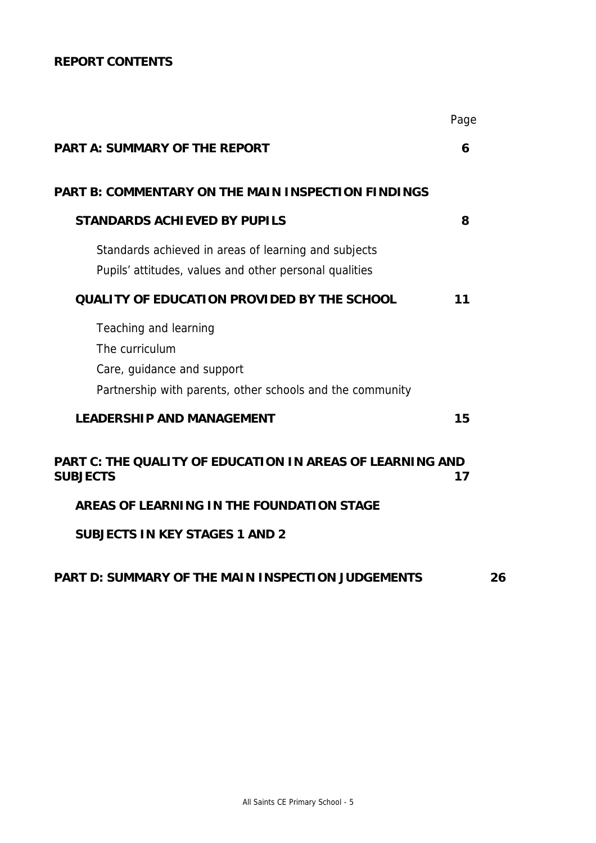# **REPORT CONTENTS**

|                                                                                                                                    | Page |
|------------------------------------------------------------------------------------------------------------------------------------|------|
| <b>PART A: SUMMARY OF THE REPORT</b>                                                                                               | 6    |
| <b>PART B: COMMENTARY ON THE MAIN INSPECTION FINDINGS</b>                                                                          |      |
| <b>STANDARDS ACHIEVED BY PUPILS</b>                                                                                                | 8    |
| Standards achieved in areas of learning and subjects<br>Pupils' attitudes, values and other personal qualities                     |      |
| <b>QUALITY OF EDUCATION PROVIDED BY THE SCHOOL</b>                                                                                 | 11   |
| Teaching and learning<br>The curriculum<br>Care, guidance and support<br>Partnership with parents, other schools and the community |      |
| <b>LEADERSHIP AND MANAGEMENT</b>                                                                                                   | 15   |
| <b>PART C: THE QUALITY OF EDUCATION IN AREAS OF LEARNING AND</b><br><b>SUBJECTS</b>                                                | 17   |
| AREAS OF LEARNING IN THE FOUNDATION STAGE                                                                                          |      |
| <b>SUBJECTS IN KEY STAGES 1 AND 2</b>                                                                                              |      |
| PART D: SUMMARY OF THE MAIN INSPECTION JUDGEMENTS                                                                                  | 26   |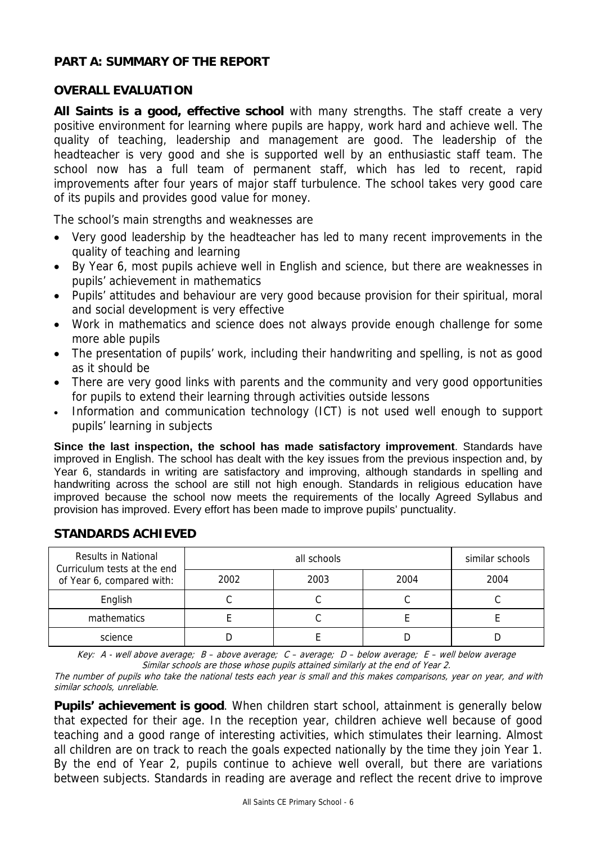### **PART A: SUMMARY OF THE REPORT**

### **OVERALL EVALUATION**

**All Saints is a good, effective school** with many strengths. The staff create a very positive environment for learning where pupils are happy, work hard and achieve well. The quality of teaching, leadership and management are good. The leadership of the headteacher is very good and she is supported well by an enthusiastic staff team. The school now has a full team of permanent staff, which has led to recent, rapid improvements after four years of major staff turbulence. The school takes very good care of its pupils and provides good value for money.

The school's main strengths and weaknesses are

- Very good leadership by the headteacher has led to many recent improvements in the quality of teaching and learning
- By Year 6, most pupils achieve well in English and science, but there are weaknesses in pupils' achievement in mathematics
- Pupils' attitudes and behaviour are very good because provision for their spiritual, moral and social development is very effective
- Work in mathematics and science does not always provide enough challenge for some more able pupils
- The presentation of pupils' work, including their handwriting and spelling, is not as good as it should be
- There are very good links with parents and the community and very good opportunities for pupils to extend their learning through activities outside lessons
- Information and communication technology (ICT) is not used well enough to support pupils' learning in subjects

**Since the last inspection, the school has made satisfactory improvement**. Standards have improved in English. The school has dealt with the key issues from the previous inspection and, by Year 6, standards in writing are satisfactory and improving, although standards in spelling and handwriting across the school are still not high enough. Standards in religious education have improved because the school now meets the requirements of the locally Agreed Syllabus and provision has improved. Every effort has been made to improve pupils' punctuality.

| <b>Results in National</b><br>Curriculum tests at the end |      | similar schools |      |      |
|-----------------------------------------------------------|------|-----------------|------|------|
| of Year 6, compared with:                                 | 2002 | 2003            | 2004 | 2004 |
| English                                                   |      |                 |      |      |
| mathematics                                               |      |                 |      |      |
| science                                                   |      |                 |      |      |

# **STANDARDS ACHIEVED**

Key: A - well above average; B – above average; C – average; D – below average; E – well below average Similar schools are those whose pupils attained similarly at the end of Year 2.

The number of pupils who take the national tests each year is small and this makes comparisons, year on year, and with similar schools, unreliable.

**Pupils' achievement is good**. When children start school, attainment is generally below that expected for their age. In the reception year, children achieve well because of good teaching and a good range of interesting activities, which stimulates their learning. Almost all children are on track to reach the goals expected nationally by the time they join Year 1. By the end of Year 2, pupils continue to achieve well overall, but there are variations between subjects. Standards in reading are average and reflect the recent drive to improve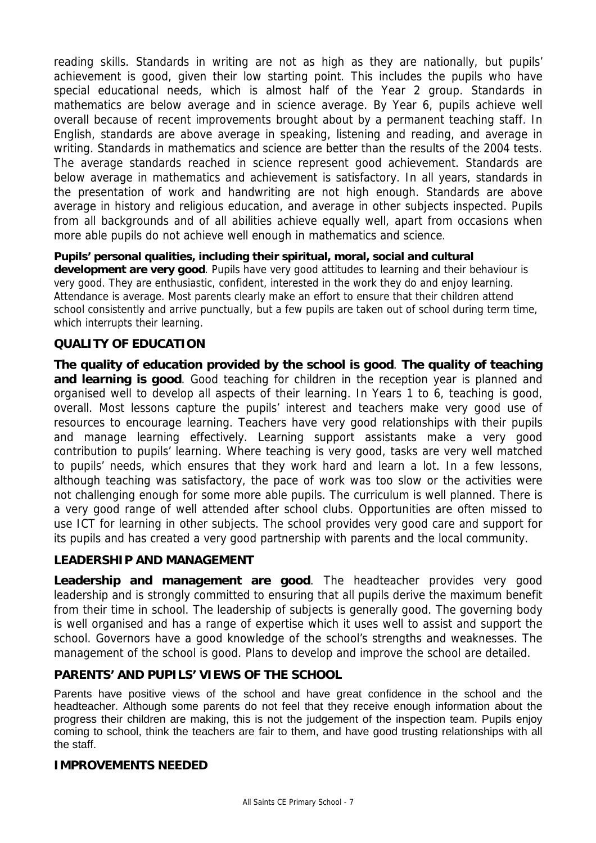reading skills. Standards in writing are not as high as they are nationally, but pupils' achievement is good, given their low starting point. This includes the pupils who have special educational needs, which is almost half of the Year 2 group. Standards in mathematics are below average and in science average. By Year 6, pupils achieve well overall because of recent improvements brought about by a permanent teaching staff. In English, standards are above average in speaking, listening and reading, and average in writing. Standards in mathematics and science are better than the results of the 2004 tests. The average standards reached in science represent good achievement. Standards are below average in mathematics and achievement is satisfactory. In all years, standards in the presentation of work and handwriting are not high enough. Standards are above average in history and religious education, and average in other subjects inspected. Pupils from all backgrounds and of all abilities achieve equally well, apart from occasions when more able pupils do not achieve well enough in mathematics and science.

**Pupils' personal qualities, including their spiritual, moral, social and cultural development are very good**. Pupils have very good attitudes to learning and their behaviour is very good. They are enthusiastic, confident, interested in the work they do and enjoy learning. Attendance is average. Most parents clearly make an effort to ensure that their children attend school consistently and arrive punctually, but a few pupils are taken out of school during term time, which interrupts their learning.

## **QUALITY OF EDUCATION**

**The quality of education provided by the school is good**. **The quality of teaching and learning is good**. Good teaching for children in the reception year is planned and organised well to develop all aspects of their learning. In Years 1 to 6, teaching is good, overall. Most lessons capture the pupils' interest and teachers make very good use of resources to encourage learning. Teachers have very good relationships with their pupils and manage learning effectively. Learning support assistants make a very good contribution to pupils' learning. Where teaching is very good, tasks are very well matched to pupils' needs, which ensures that they work hard and learn a lot. In a few lessons, although teaching was satisfactory, the pace of work was too slow or the activities were not challenging enough for some more able pupils. The curriculum is well planned. There is a very good range of well attended after school clubs. Opportunities are often missed to use ICT for learning in other subjects. The school provides very good care and support for its pupils and has created a very good partnership with parents and the local community.

### **LEADERSHIP AND MANAGEMENT**

**Leadership and management are good**. The headteacher provides very good leadership and is strongly committed to ensuring that all pupils derive the maximum benefit from their time in school. The leadership of subjects is generally good. The governing body is well organised and has a range of expertise which it uses well to assist and support the school. Governors have a good knowledge of the school's strengths and weaknesses. The management of the school is good. Plans to develop and improve the school are detailed.

## **PARENTS' AND PUPILS' VIEWS OF THE SCHOOL**

Parents have positive views of the school and have great confidence in the school and the headteacher. Although some parents do not feel that they receive enough information about the progress their children are making, this is not the judgement of the inspection team. Pupils enjoy coming to school, think the teachers are fair to them, and have good trusting relationships with all the staff.

### **IMPROVEMENTS NEEDED**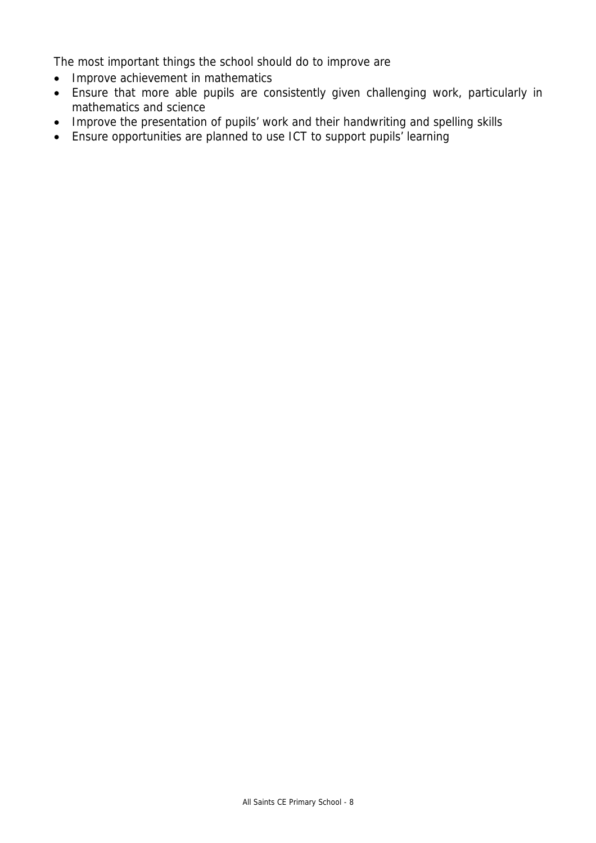The most important things the school should do to improve are

- Improve achievement in mathematics
- Ensure that more able pupils are consistently given challenging work, particularly in mathematics and science
- Improve the presentation of pupils' work and their handwriting and spelling skills
- Ensure opportunities are planned to use ICT to support pupils' learning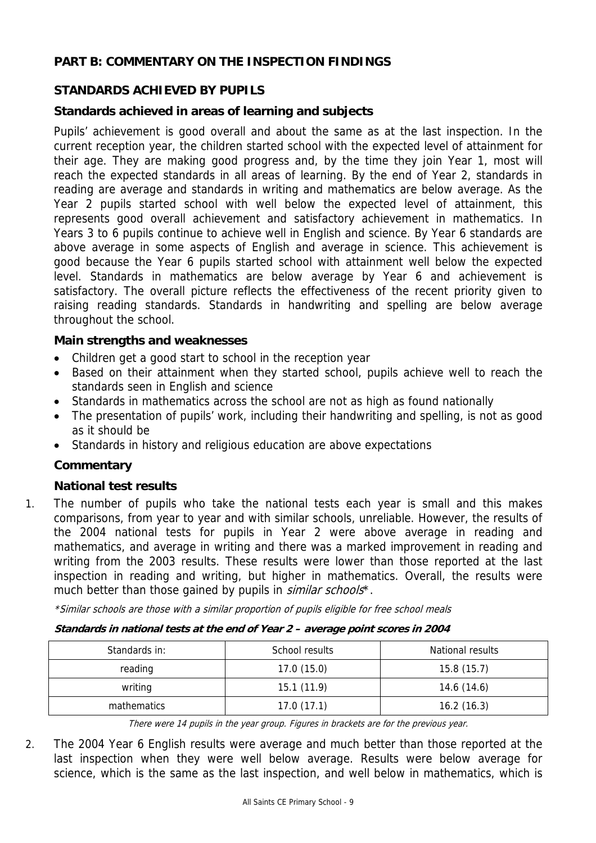# **PART B: COMMENTARY ON THE INSPECTION FINDINGS**

## **STANDARDS ACHIEVED BY PUPILS**

### **Standards achieved in areas of learning and subjects**

Pupils' achievement is good overall and about the same as at the last inspection. In the current reception year, the children started school with the expected level of attainment for their age. They are making good progress and, by the time they join Year 1, most will reach the expected standards in all areas of learning. By the end of Year 2, standards in reading are average and standards in writing and mathematics are below average. As the Year 2 pupils started school with well below the expected level of attainment, this represents good overall achievement and satisfactory achievement in mathematics. In Years 3 to 6 pupils continue to achieve well in English and science. By Year 6 standards are above average in some aspects of English and average in science. This achievement is good because the Year 6 pupils started school with attainment well below the expected level. Standards in mathematics are below average by Year 6 and achievement is satisfactory. The overall picture reflects the effectiveness of the recent priority given to raising reading standards. Standards in handwriting and spelling are below average throughout the school.

### **Main strengths and weaknesses**

- Children get a good start to school in the reception year
- Based on their attainment when they started school, pupils achieve well to reach the standards seen in English and science
- Standards in mathematics across the school are not as high as found nationally
- The presentation of pupils' work, including their handwriting and spelling, is not as good as it should be
- Standards in history and religious education are above expectations

### **Commentary**

### **National test results**

1. The number of pupils who take the national tests each year is small and this makes comparisons, from year to year and with similar schools, unreliable. However, the results of the 2004 national tests for pupils in Year 2 were above average in reading and mathematics, and average in writing and there was a marked improvement in reading and writing from the 2003 results. These results were lower than those reported at the last inspection in reading and writing, but higher in mathematics. Overall, the results were much better than those gained by pupils in *similar schools*<sup>\*</sup>.

\*Similar schools are those with a similar proportion of pupils eligible for free school meals

| Standards in national tests at the end of Year 2 – average point scores in 2004 |  |  |
|---------------------------------------------------------------------------------|--|--|
|                                                                                 |  |  |
|                                                                                 |  |  |

| Standards in: | School results | National results |  |
|---------------|----------------|------------------|--|
| reading       | 17.0(15.0)     | 15.8(15.7)       |  |
| writing       | 15.1(11.9)     | 14.6 (14.6)      |  |
| mathematics   | 17.0(17.1)     | 16.2(16.3)       |  |

There were 14 pupils in the year group. Figures in brackets are for the previous year.

2. The 2004 Year 6 English results were average and much better than those reported at the last inspection when they were well below average. Results were below average for science, which is the same as the last inspection, and well below in mathematics, which is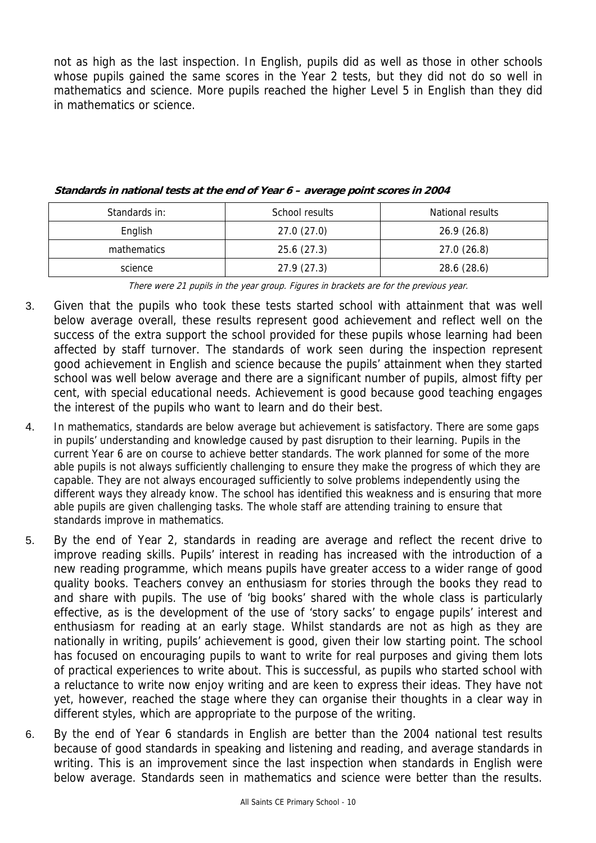not as high as the last inspection. In English, pupils did as well as those in other schools whose pupils gained the same scores in the Year 2 tests, but they did not do so well in mathematics and science. More pupils reached the higher Level 5 in English than they did in mathematics or science.

| Standards in: | School results | National results |
|---------------|----------------|------------------|
| English       | 27.0(27.0)     | 26.9(26.8)       |
| mathematics   | 25.6(27.3)     | 27.0(26.8)       |
| science       | 27.9(27.3)     | 28.6 (28.6)      |

**Standards in national tests at the end of Year 6 – average point scores in 2004** 

There were 21 pupils in the year group. Figures in brackets are for the previous year.

- 3. Given that the pupils who took these tests started school with attainment that was well below average overall, these results represent good achievement and reflect well on the success of the extra support the school provided for these pupils whose learning had been affected by staff turnover. The standards of work seen during the inspection represent good achievement in English and science because the pupils' attainment when they started school was well below average and there are a significant number of pupils, almost fifty per cent, with special educational needs. Achievement is good because good teaching engages the interest of the pupils who want to learn and do their best.
- 4. In mathematics, standards are below average but achievement is satisfactory. There are some gaps in pupils' understanding and knowledge caused by past disruption to their learning. Pupils in the current Year 6 are on course to achieve better standards. The work planned for some of the more able pupils is not always sufficiently challenging to ensure they make the progress of which they are capable. They are not always encouraged sufficiently to solve problems independently using the different ways they already know. The school has identified this weakness and is ensuring that more able pupils are given challenging tasks. The whole staff are attending training to ensure that standards improve in mathematics.
- 5. By the end of Year 2, standards in reading are average and reflect the recent drive to improve reading skills. Pupils' interest in reading has increased with the introduction of a new reading programme, which means pupils have greater access to a wider range of good quality books. Teachers convey an enthusiasm for stories through the books they read to and share with pupils. The use of 'big books' shared with the whole class is particularly effective, as is the development of the use of 'story sacks' to engage pupils' interest and enthusiasm for reading at an early stage. Whilst standards are not as high as they are nationally in writing, pupils' achievement is good, given their low starting point. The school has focused on encouraging pupils to want to write for real purposes and giving them lots of practical experiences to write about. This is successful, as pupils who started school with a reluctance to write now enjoy writing and are keen to express their ideas. They have not yet, however, reached the stage where they can organise their thoughts in a clear way in different styles, which are appropriate to the purpose of the writing.
- 6. By the end of Year 6 standards in English are better than the 2004 national test results because of good standards in speaking and listening and reading, and average standards in writing. This is an improvement since the last inspection when standards in English were below average. Standards seen in mathematics and science were better than the results.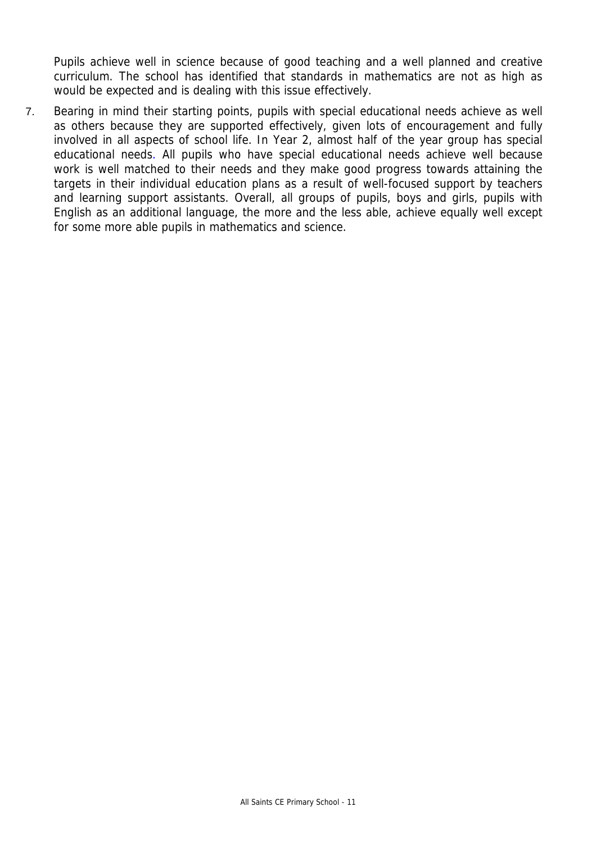Pupils achieve well in science because of good teaching and a well planned and creative curriculum. The school has identified that standards in mathematics are not as high as would be expected and is dealing with this issue effectively.

7. Bearing in mind their starting points, pupils with special educational needs achieve as well as others because they are supported effectively, given lots of encouragement and fully involved in all aspects of school life. In Year 2, almost half of the year group has special educational needs. All pupils who have special educational needs achieve well because work is well matched to their needs and they make good progress towards attaining the targets in their individual education plans as a result of well-focused support by teachers and learning support assistants. Overall, all groups of pupils, boys and girls, pupils with English as an additional language, the more and the less able, achieve equally well except for some more able pupils in mathematics and science.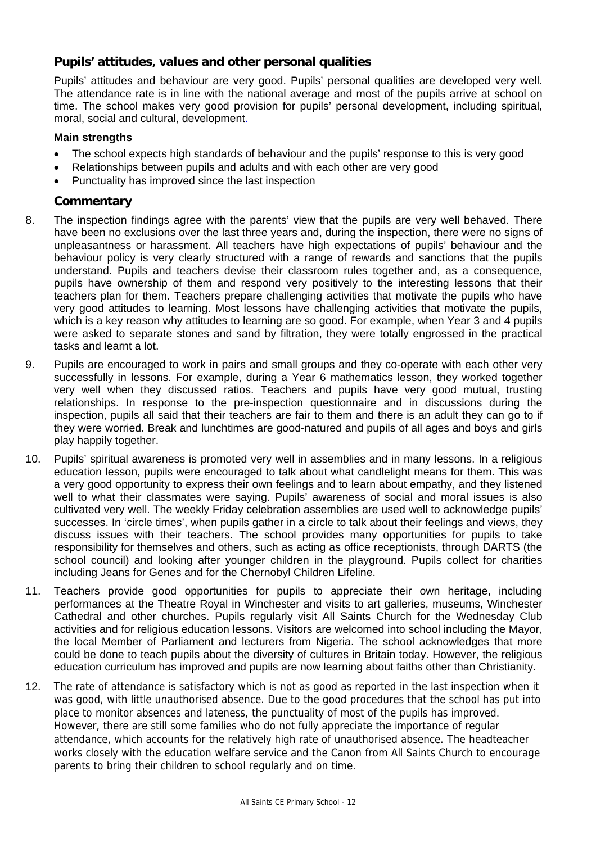## **Pupils' attitudes, values and other personal qualities**

Pupils' attitudes and behaviour are very good. Pupils' personal qualities are developed very well. The attendance rate is in line with the national average and most of the pupils arrive at school on time. The school makes very good provision for pupils' personal development, including spiritual, moral, social and cultural, development.

#### **Main strengths**

- The school expects high standards of behaviour and the pupils' response to this is very good
- Relationships between pupils and adults and with each other are very good
- Punctuality has improved since the last inspection

### **Commentary**

- 8. The inspection findings agree with the parents' view that the pupils are very well behaved. There have been no exclusions over the last three years and, during the inspection, there were no signs of unpleasantness or harassment. All teachers have high expectations of pupils' behaviour and the behaviour policy is very clearly structured with a range of rewards and sanctions that the pupils understand. Pupils and teachers devise their classroom rules together and, as a consequence, pupils have ownership of them and respond very positively to the interesting lessons that their teachers plan for them. Teachers prepare challenging activities that motivate the pupils who have very good attitudes to learning. Most lessons have challenging activities that motivate the pupils, which is a key reason why attitudes to learning are so good. For example, when Year 3 and 4 pupils were asked to separate stones and sand by filtration, they were totally engrossed in the practical tasks and learnt a lot.
- 9. Pupils are encouraged to work in pairs and small groups and they co-operate with each other very successfully in lessons. For example, during a Year 6 mathematics lesson, they worked together very well when they discussed ratios. Teachers and pupils have very good mutual, trusting relationships. In response to the pre-inspection questionnaire and in discussions during the inspection, pupils all said that their teachers are fair to them and there is an adult they can go to if they were worried. Break and lunchtimes are good-natured and pupils of all ages and boys and girls play happily together.
- 10. Pupils' spiritual awareness is promoted very well in assemblies and in many lessons. In a religious education lesson, pupils were encouraged to talk about what candlelight means for them. This was a very good opportunity to express their own feelings and to learn about empathy, and they listened well to what their classmates were saying. Pupils' awareness of social and moral issues is also cultivated very well. The weekly Friday celebration assemblies are used well to acknowledge pupils' successes. In 'circle times', when pupils gather in a circle to talk about their feelings and views, they discuss issues with their teachers. The school provides many opportunities for pupils to take responsibility for themselves and others, such as acting as office receptionists, through DARTS (the school council) and looking after younger children in the playground. Pupils collect for charities including Jeans for Genes and for the Chernobyl Children Lifeline.
- 11. Teachers provide good opportunities for pupils to appreciate their own heritage, including performances at the Theatre Royal in Winchester and visits to art galleries, museums, Winchester Cathedral and other churches. Pupils regularly visit All Saints Church for the Wednesday Club activities and for religious education lessons. Visitors are welcomed into school including the Mayor, the local Member of Parliament and lecturers from Nigeria. The school acknowledges that more could be done to teach pupils about the diversity of cultures in Britain today. However, the religious education curriculum has improved and pupils are now learning about faiths other than Christianity.
- 12. The rate of attendance is satisfactory which is not as good as reported in the last inspection when it was good, with little unauthorised absence. Due to the good procedures that the school has put into place to monitor absences and lateness, the punctuality of most of the pupils has improved. However, there are still some families who do not fully appreciate the importance of regular attendance, which accounts for the relatively high rate of unauthorised absence. The headteacher works closely with the education welfare service and the Canon from All Saints Church to encourage parents to bring their children to school regularly and on time.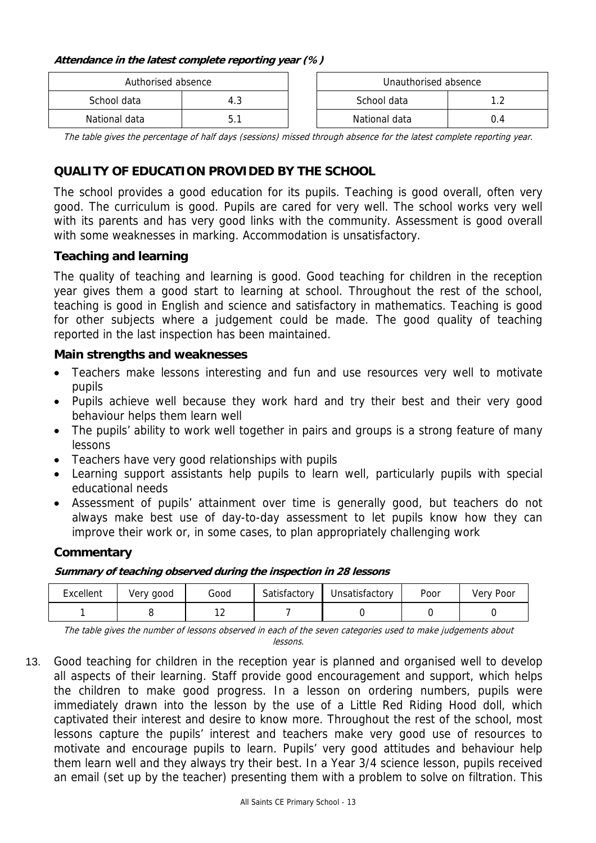#### **Attendance in the latest complete reporting year (%)**

| Authorised absence |     | Unauthorised absence |     |
|--------------------|-----|----------------------|-----|
| School data        | 4.3 | School data          |     |
| National data      |     | National data        | 0.4 |

The table gives the percentage of half days (sessions) missed through absence for the latest complete reporting year.

# **QUALITY OF EDUCATION PROVIDED BY THE SCHOOL**

The school provides a good education for its pupils. Teaching is good overall, often very good. The curriculum is good. Pupils are cared for very well. The school works very well with its parents and has very good links with the community. Assessment is good overall with some weaknesses in marking. Accommodation is unsatisfactory.

### **Teaching and learning**

The quality of teaching and learning is good. Good teaching for children in the reception year gives them a good start to learning at school. Throughout the rest of the school, teaching is good in English and science and satisfactory in mathematics. Teaching is good for other subjects where a judgement could be made. The good quality of teaching reported in the last inspection has been maintained.

#### **Main strengths and weaknesses**

- Teachers make lessons interesting and fun and use resources very well to motivate pupils
- Pupils achieve well because they work hard and try their best and their very good behaviour helps them learn well
- The pupils' ability to work well together in pairs and groups is a strong feature of many lessons
- Teachers have very good relationships with pupils
- Learning support assistants help pupils to learn well, particularly pupils with special educational needs
- Assessment of pupils' attainment over time is generally good, but teachers do not always make best use of day-to-day assessment to let pupils know how they can improve their work or, in some cases, to plan appropriately challenging work

### **Commentary**

#### **Summary of teaching observed during the inspection in 28 lessons**

| Excellent | Very good | Good          | Satisfactory | Unsatisfactory | Poor | Very Poor |
|-----------|-----------|---------------|--------------|----------------|------|-----------|
|           |           | $\sim$<br>. . |              |                |      |           |

The table gives the number of lessons observed in each of the seven categories used to make judgements about lessons.

13. Good teaching for children in the reception year is planned and organised well to develop all aspects of their learning. Staff provide good encouragement and support, which helps the children to make good progress. In a lesson on ordering numbers, pupils were immediately drawn into the lesson by the use of a Little Red Riding Hood doll, which captivated their interest and desire to know more. Throughout the rest of the school, most lessons capture the pupils' interest and teachers make very good use of resources to motivate and encourage pupils to learn. Pupils' very good attitudes and behaviour help them learn well and they always try their best. In a Year 3/4 science lesson, pupils received an email (set up by the teacher) presenting them with a problem to solve on filtration. This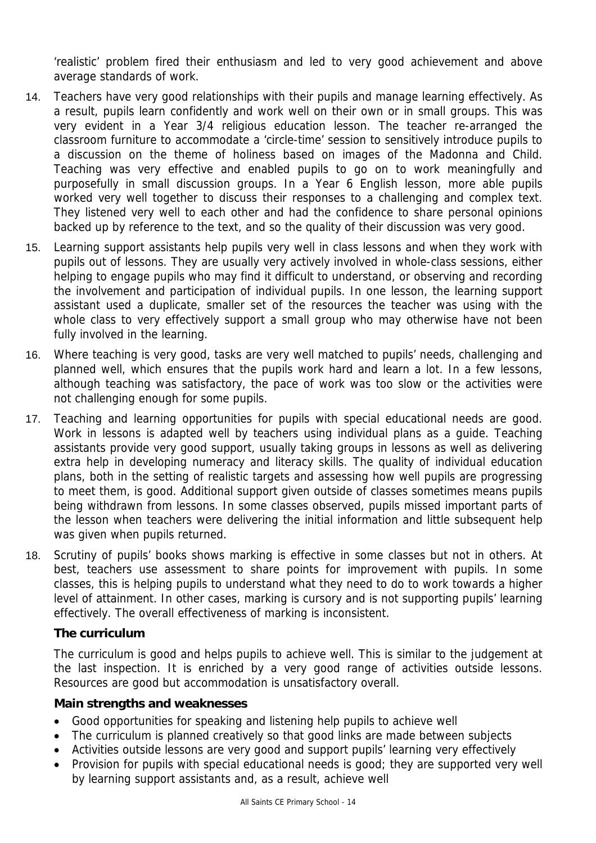'realistic' problem fired their enthusiasm and led to very good achievement and above average standards of work.

- 14. Teachers have very good relationships with their pupils and manage learning effectively. As a result, pupils learn confidently and work well on their own or in small groups. This was very evident in a Year 3/4 religious education lesson. The teacher re-arranged the classroom furniture to accommodate a 'circle-time' session to sensitively introduce pupils to a discussion on the theme of holiness based on images of the Madonna and Child. Teaching was very effective and enabled pupils to go on to work meaningfully and purposefully in small discussion groups. In a Year 6 English lesson, more able pupils worked very well together to discuss their responses to a challenging and complex text. They listened very well to each other and had the confidence to share personal opinions backed up by reference to the text, and so the quality of their discussion was very good.
- 15. Learning support assistants help pupils very well in class lessons and when they work with pupils out of lessons. They are usually very actively involved in whole-class sessions, either helping to engage pupils who may find it difficult to understand, or observing and recording the involvement and participation of individual pupils. In one lesson, the learning support assistant used a duplicate, smaller set of the resources the teacher was using with the whole class to very effectively support a small group who may otherwise have not been fully involved in the learning.
- 16. Where teaching is very good, tasks are very well matched to pupils' needs, challenging and planned well, which ensures that the pupils work hard and learn a lot. In a few lessons, although teaching was satisfactory, the pace of work was too slow or the activities were not challenging enough for some pupils.
- 17. Teaching and learning opportunities for pupils with special educational needs are good. Work in lessons is adapted well by teachers using individual plans as a guide. Teaching assistants provide very good support, usually taking groups in lessons as well as delivering extra help in developing numeracy and literacy skills. The quality of individual education plans, both in the setting of realistic targets and assessing how well pupils are progressing to meet them, is good. Additional support given outside of classes sometimes means pupils being withdrawn from lessons. In some classes observed, pupils missed important parts of the lesson when teachers were delivering the initial information and little subsequent help was given when pupils returned.
- 18. Scrutiny of pupils' books shows marking is effective in some classes but not in others. At best, teachers use assessment to share points for improvement with pupils. In some classes, this is helping pupils to understand what they need to do to work towards a higher level of attainment. In other cases, marking is cursory and is not supporting pupils' learning effectively. The overall effectiveness of marking is inconsistent.

### **The curriculum**

The curriculum is good and helps pupils to achieve well. This is similar to the judgement at the last inspection. It is enriched by a very good range of activities outside lessons. Resources are good but accommodation is unsatisfactory overall.

### **Main strengths and weaknesses**

- Good opportunities for speaking and listening help pupils to achieve well
- The curriculum is planned creatively so that good links are made between subjects
- Activities outside lessons are very good and support pupils' learning very effectively
- Provision for pupils with special educational needs is good; they are supported very well by learning support assistants and, as a result, achieve well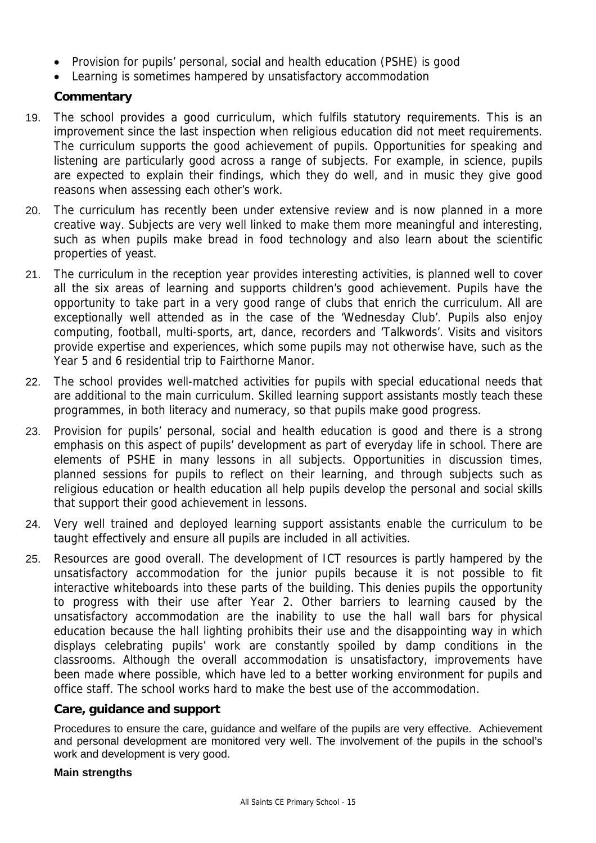- Provision for pupils' personal, social and health education (PSHE) is good
- Learning is sometimes hampered by unsatisfactory accommodation

## **Commentary**

- 19. The school provides a good curriculum, which fulfils statutory requirements. This is an improvement since the last inspection when religious education did not meet requirements. The curriculum supports the good achievement of pupils. Opportunities for speaking and listening are particularly good across a range of subjects. For example, in science, pupils are expected to explain their findings, which they do well, and in music they give good reasons when assessing each other's work.
- 20. The curriculum has recently been under extensive review and is now planned in a more creative way. Subjects are very well linked to make them more meaningful and interesting, such as when pupils make bread in food technology and also learn about the scientific properties of yeast.
- 21. The curriculum in the reception year provides interesting activities, is planned well to cover all the six areas of learning and supports children's good achievement. Pupils have the opportunity to take part in a very good range of clubs that enrich the curriculum. All are exceptionally well attended as in the case of the 'Wednesday Club'. Pupils also enjoy computing, football, multi-sports, art, dance, recorders and 'Talkwords'. Visits and visitors provide expertise and experiences, which some pupils may not otherwise have, such as the Year 5 and 6 residential trip to Fairthorne Manor.
- 22. The school provides well-matched activities for pupils with special educational needs that are additional to the main curriculum. Skilled learning support assistants mostly teach these programmes, in both literacy and numeracy, so that pupils make good progress.
- 23. Provision for pupils' personal, social and health education is good and there is a strong emphasis on this aspect of pupils' development as part of everyday life in school. There are elements of PSHE in many lessons in all subjects. Opportunities in discussion times, planned sessions for pupils to reflect on their learning, and through subjects such as religious education or health education all help pupils develop the personal and social skills that support their good achievement in lessons.
- 24. Very well trained and deployed learning support assistants enable the curriculum to be taught effectively and ensure all pupils are included in all activities.
- 25. Resources are good overall. The development of ICT resources is partly hampered by the unsatisfactory accommodation for the junior pupils because it is not possible to fit interactive whiteboards into these parts of the building. This denies pupils the opportunity to progress with their use after Year 2. Other barriers to learning caused by the unsatisfactory accommodation are the inability to use the hall wall bars for physical education because the hall lighting prohibits their use and the disappointing way in which displays celebrating pupils' work are constantly spoiled by damp conditions in the classrooms. Although the overall accommodation is unsatisfactory, improvements have been made where possible, which have led to a better working environment for pupils and office staff. The school works hard to make the best use of the accommodation.

#### **Care, guidance and support**

Procedures to ensure the care, guidance and welfare of the pupils are very effective. Achievement and personal development are monitored very well. The involvement of the pupils in the school's work and development is very good.

#### **Main strengths**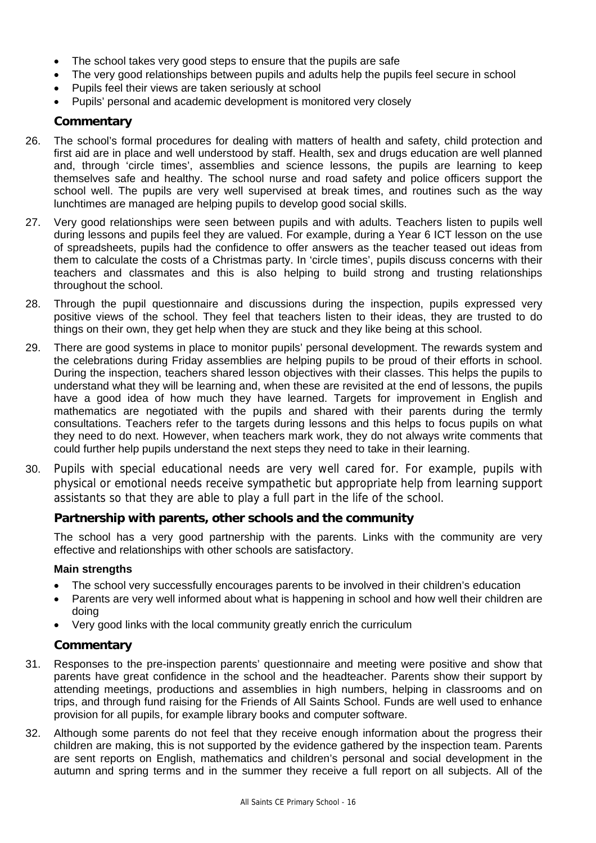- The school takes very good steps to ensure that the pupils are safe
- The very good relationships between pupils and adults help the pupils feel secure in school
- Pupils feel their views are taken seriously at school
- Pupils' personal and academic development is monitored very closely

#### **Commentary**

- 26. The school's formal procedures for dealing with matters of health and safety, child protection and first aid are in place and well understood by staff. Health, sex and drugs education are well planned and, through 'circle times', assemblies and science lessons, the pupils are learning to keep themselves safe and healthy. The school nurse and road safety and police officers support the school well. The pupils are very well supervised at break times, and routines such as the way lunchtimes are managed are helping pupils to develop good social skills.
- 27. Very good relationships were seen between pupils and with adults. Teachers listen to pupils well during lessons and pupils feel they are valued. For example, during a Year 6 ICT lesson on the use of spreadsheets, pupils had the confidence to offer answers as the teacher teased out ideas from them to calculate the costs of a Christmas party. In 'circle times', pupils discuss concerns with their teachers and classmates and this is also helping to build strong and trusting relationships throughout the school.
- 28. Through the pupil questionnaire and discussions during the inspection, pupils expressed very positive views of the school. They feel that teachers listen to their ideas, they are trusted to do things on their own, they get help when they are stuck and they like being at this school.
- 29. There are good systems in place to monitor pupils' personal development. The rewards system and the celebrations during Friday assemblies are helping pupils to be proud of their efforts in school. During the inspection, teachers shared lesson objectives with their classes. This helps the pupils to understand what they will be learning and, when these are revisited at the end of lessons, the pupils have a good idea of how much they have learned. Targets for improvement in English and mathematics are negotiated with the pupils and shared with their parents during the termly consultations. Teachers refer to the targets during lessons and this helps to focus pupils on what they need to do next. However, when teachers mark work, they do not always write comments that could further help pupils understand the next steps they need to take in their learning.
- 30. Pupils with special educational needs are very well cared for. For example, pupils with physical or emotional needs receive sympathetic but appropriate help from learning support assistants so that they are able to play a full part in the life of the school.

### **Partnership with parents, other schools and the community**

The school has a very good partnership with the parents. Links with the community are very effective and relationships with other schools are satisfactory.

#### **Main strengths**

- The school very successfully encourages parents to be involved in their children's education
- Parents are very well informed about what is happening in school and how well their children are doing
- Very good links with the local community greatly enrich the curriculum

### **Commentary**

- 31. Responses to the pre-inspection parents' questionnaire and meeting were positive and show that parents have great confidence in the school and the headteacher. Parents show their support by attending meetings, productions and assemblies in high numbers, helping in classrooms and on trips, and through fund raising for the Friends of All Saints School. Funds are well used to enhance provision for all pupils, for example library books and computer software.
- 32. Although some parents do not feel that they receive enough information about the progress their children are making, this is not supported by the evidence gathered by the inspection team. Parents are sent reports on English, mathematics and children's personal and social development in the autumn and spring terms and in the summer they receive a full report on all subjects. All of the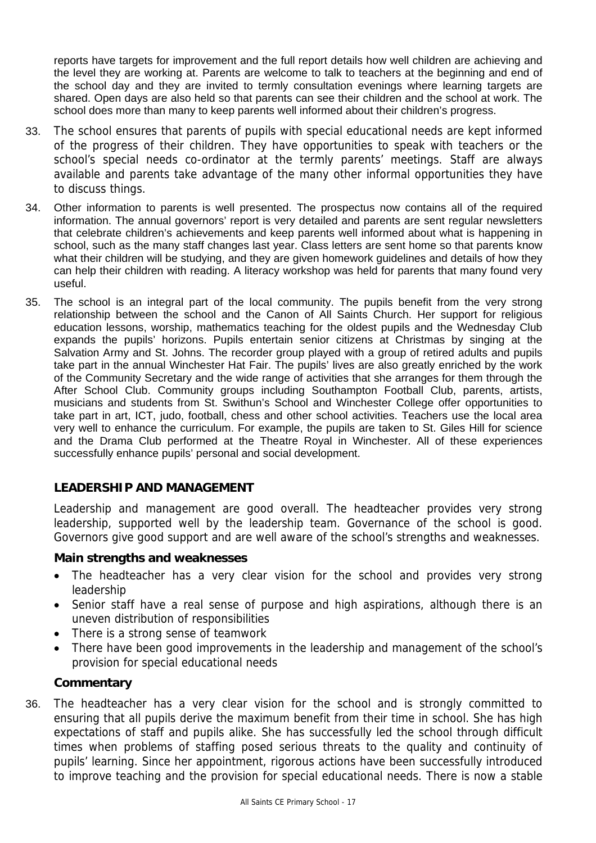reports have targets for improvement and the full report details how well children are achieving and the level they are working at. Parents are welcome to talk to teachers at the beginning and end of the school day and they are invited to termly consultation evenings where learning targets are shared. Open days are also held so that parents can see their children and the school at work. The school does more than many to keep parents well informed about their children's progress.

- 33. The school ensures that parents of pupils with special educational needs are kept informed of the progress of their children. They have opportunities to speak with teachers or the school's special needs co-ordinator at the termly parents' meetings. Staff are always available and parents take advantage of the many other informal opportunities they have to discuss things.
- 34. Other information to parents is well presented. The prospectus now contains all of the required information. The annual governors' report is very detailed and parents are sent regular newsletters that celebrate children's achievements and keep parents well informed about what is happening in school, such as the many staff changes last year. Class letters are sent home so that parents know what their children will be studying, and they are given homework guidelines and details of how they can help their children with reading. A literacy workshop was held for parents that many found very useful.
- 35. The school is an integral part of the local community. The pupils benefit from the very strong relationship between the school and the Canon of All Saints Church. Her support for religious education lessons, worship, mathematics teaching for the oldest pupils and the Wednesday Club expands the pupils' horizons. Pupils entertain senior citizens at Christmas by singing at the Salvation Army and St. Johns. The recorder group played with a group of retired adults and pupils take part in the annual Winchester Hat Fair. The pupils' lives are also greatly enriched by the work of the Community Secretary and the wide range of activities that she arranges for them through the After School Club. Community groups including Southampton Football Club, parents, artists, musicians and students from St. Swithun's School and Winchester College offer opportunities to take part in art, ICT, judo, football, chess and other school activities. Teachers use the local area very well to enhance the curriculum. For example, the pupils are taken to St. Giles Hill for science and the Drama Club performed at the Theatre Royal in Winchester. All of these experiences successfully enhance pupils' personal and social development.

# **LEADERSHIP AND MANAGEMENT**

Leadership and management are good overall. The headteacher provides very strong leadership, supported well by the leadership team. Governance of the school is good. Governors give good support and are well aware of the school's strengths and weaknesses.

### **Main strengths and weaknesses**

- The headteacher has a very clear vision for the school and provides very strong leadership
- Senior staff have a real sense of purpose and high aspirations, although there is an uneven distribution of responsibilities
- There is a strong sense of teamwork
- There have been good improvements in the leadership and management of the school's provision for special educational needs

### **Commentary**

36. The headteacher has a very clear vision for the school and is strongly committed to ensuring that all pupils derive the maximum benefit from their time in school. She has high expectations of staff and pupils alike. She has successfully led the school through difficult times when problems of staffing posed serious threats to the quality and continuity of pupils' learning. Since her appointment, rigorous actions have been successfully introduced to improve teaching and the provision for special educational needs. There is now a stable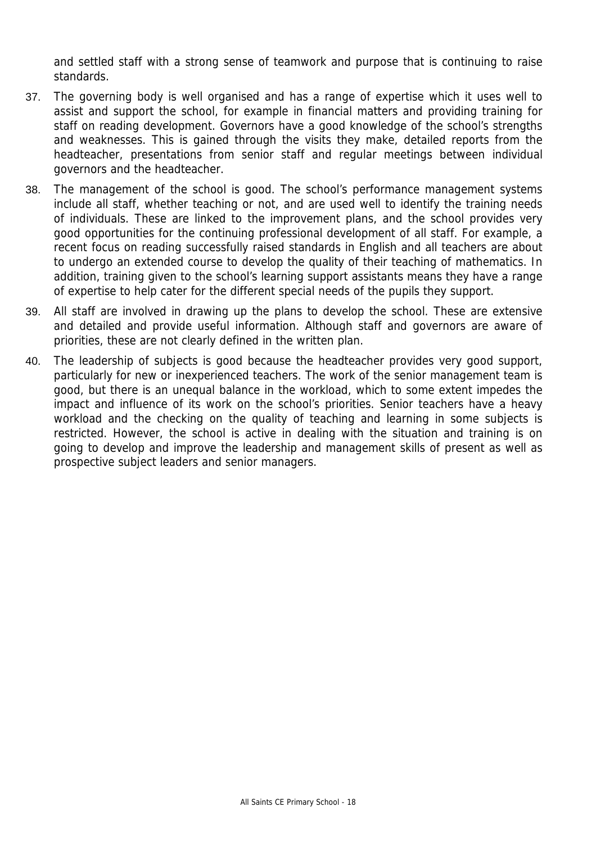and settled staff with a strong sense of teamwork and purpose that is continuing to raise standards.

- 37. The governing body is well organised and has a range of expertise which it uses well to assist and support the school, for example in financial matters and providing training for staff on reading development. Governors have a good knowledge of the school's strengths and weaknesses. This is gained through the visits they make, detailed reports from the headteacher, presentations from senior staff and regular meetings between individual governors and the headteacher.
- 38. The management of the school is good. The school's performance management systems include all staff, whether teaching or not, and are used well to identify the training needs of individuals. These are linked to the improvement plans, and the school provides very good opportunities for the continuing professional development of all staff. For example, a recent focus on reading successfully raised standards in English and all teachers are about to undergo an extended course to develop the quality of their teaching of mathematics. In addition, training given to the school's learning support assistants means they have a range of expertise to help cater for the different special needs of the pupils they support.
- 39. All staff are involved in drawing up the plans to develop the school. These are extensive and detailed and provide useful information. Although staff and governors are aware of priorities, these are not clearly defined in the written plan.
- 40. The leadership of subjects is good because the headteacher provides very good support, particularly for new or inexperienced teachers. The work of the senior management team is good, but there is an unequal balance in the workload, which to some extent impedes the impact and influence of its work on the school's priorities. Senior teachers have a heavy workload and the checking on the quality of teaching and learning in some subjects is restricted. However, the school is active in dealing with the situation and training is on going to develop and improve the leadership and management skills of present as well as prospective subject leaders and senior managers.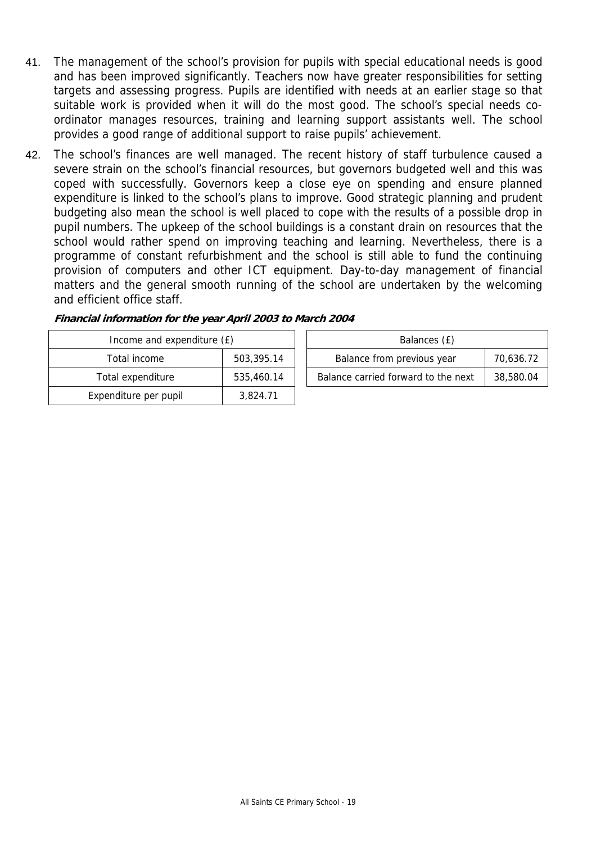- 41. The management of the school's provision for pupils with special educational needs is good and has been improved significantly. Teachers now have greater responsibilities for setting targets and assessing progress. Pupils are identified with needs at an earlier stage so that suitable work is provided when it will do the most good. The school's special needs coordinator manages resources, training and learning support assistants well. The school provides a good range of additional support to raise pupils' achievement.
- 42. The school's finances are well managed. The recent history of staff turbulence caused a severe strain on the school's financial resources, but governors budgeted well and this was coped with successfully. Governors keep a close eye on spending and ensure planned expenditure is linked to the school's plans to improve. Good strategic planning and prudent budgeting also mean the school is well placed to cope with the results of a possible drop in pupil numbers. The upkeep of the school buildings is a constant drain on resources that the school would rather spend on improving teaching and learning. Nevertheless, there is a programme of constant refurbishment and the school is still able to fund the continuing provision of computers and other ICT equipment. Day-to-day management of financial matters and the general smooth running of the school are undertaken by the welcoming and efficient office staff.

| Income and expenditure (£) |            | Balances (£)                        |           |
|----------------------------|------------|-------------------------------------|-----------|
| Total income               | 503,395.14 | Balance from previous year          | 70,636.72 |
| Total expenditure          | 535,460.14 | Balance carried forward to the next | 38,580.04 |
| Expenditure per pupil      | 3,824.71   |                                     |           |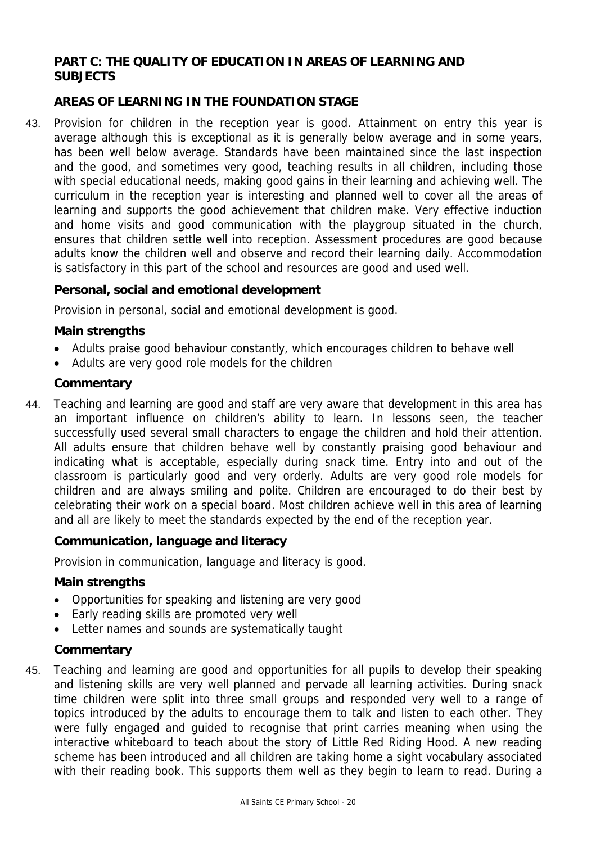# **PART C: THE QUALITY OF EDUCATION IN AREAS OF LEARNING AND SUBJECTS**

# **AREAS OF LEARNING IN THE FOUNDATION STAGE**

43. Provision for children in the reception year is good. Attainment on entry this year is average although this is exceptional as it is generally below average and in some years, has been well below average. Standards have been maintained since the last inspection and the good, and sometimes very good, teaching results in all children, including those with special educational needs, making good gains in their learning and achieving well. The curriculum in the reception year is interesting and planned well to cover all the areas of learning and supports the good achievement that children make. Very effective induction and home visits and good communication with the playgroup situated in the church, ensures that children settle well into reception. Assessment procedures are good because adults know the children well and observe and record their learning daily. Accommodation is satisfactory in this part of the school and resources are good and used well.

### **Personal, social and emotional development**

Provision in personal, social and emotional development is good.

#### **Main strengths**

- Adults praise good behaviour constantly, which encourages children to behave well
- Adults are very good role models for the children

#### **Commentary**

44. Teaching and learning are good and staff are very aware that development in this area has an important influence on children's ability to learn. In lessons seen, the teacher successfully used several small characters to engage the children and hold their attention. All adults ensure that children behave well by constantly praising good behaviour and indicating what is acceptable, especially during snack time. Entry into and out of the classroom is particularly good and very orderly. Adults are very good role models for children and are always smiling and polite. Children are encouraged to do their best by celebrating their work on a special board. Most children achieve well in this area of learning and all are likely to meet the standards expected by the end of the reception year.

### **Communication, language and literacy**

Provision in communication, language and literacy is good.

#### **Main strengths**

- Opportunities for speaking and listening are very good
- Early reading skills are promoted very well
- Letter names and sounds are systematically taught

#### **Commentary**

45. Teaching and learning are good and opportunities for all pupils to develop their speaking and listening skills are very well planned and pervade all learning activities. During snack time children were split into three small groups and responded very well to a range of topics introduced by the adults to encourage them to talk and listen to each other. They were fully engaged and guided to recognise that print carries meaning when using the interactive whiteboard to teach about the story of Little Red Riding Hood. A new reading scheme has been introduced and all children are taking home a sight vocabulary associated with their reading book. This supports them well as they begin to learn to read. During a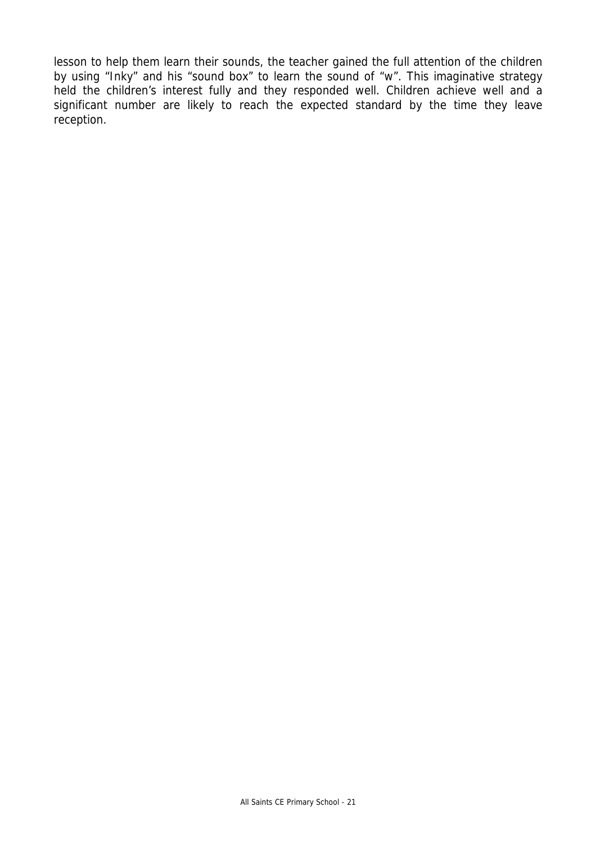lesson to help them learn their sounds, the teacher gained the full attention of the children by using "Inky" and his "sound box" to learn the sound of "w". This imaginative strategy held the children's interest fully and they responded well. Children achieve well and a significant number are likely to reach the expected standard by the time they leave reception.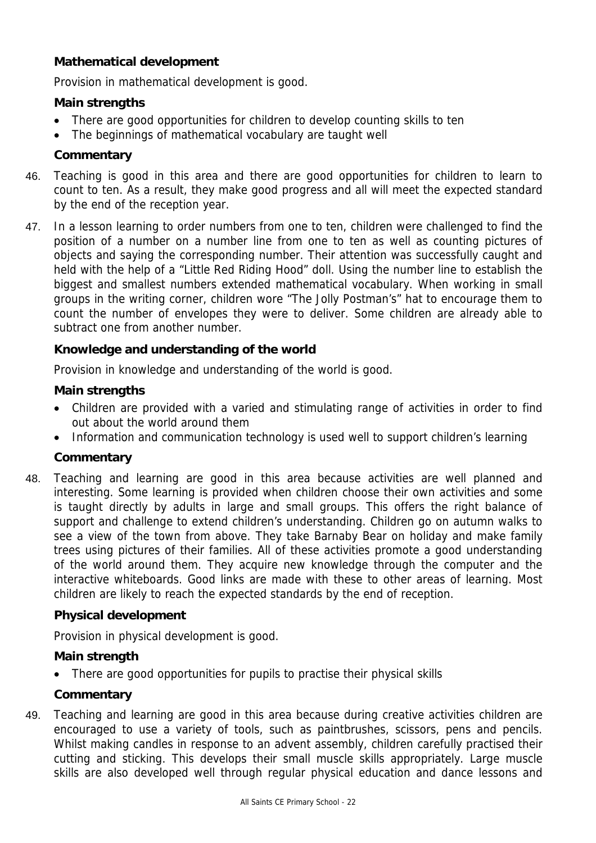# **Mathematical development**

Provision in mathematical development is good.

# **Main strengths**

- There are good opportunities for children to develop counting skills to ten
- The beginnings of mathematical vocabulary are taught well

# **Commentary**

- 46. Teaching is good in this area and there are good opportunities for children to learn to count to ten. As a result, they make good progress and all will meet the expected standard by the end of the reception year.
- 47. In a lesson learning to order numbers from one to ten, children were challenged to find the position of a number on a number line from one to ten as well as counting pictures of objects and saying the corresponding number. Their attention was successfully caught and held with the help of a "Little Red Riding Hood" doll. Using the number line to establish the biggest and smallest numbers extended mathematical vocabulary. When working in small groups in the writing corner, children wore "The Jolly Postman's" hat to encourage them to count the number of envelopes they were to deliver. Some children are already able to subtract one from another number.

# **Knowledge and understanding of the world**

Provision in knowledge and understanding of the world is good.

# **Main strengths**

- Children are provided with a varied and stimulating range of activities in order to find out about the world around them
- Information and communication technology is used well to support children's learning

# **Commentary**

48. Teaching and learning are good in this area because activities are well planned and interesting. Some learning is provided when children choose their own activities and some is taught directly by adults in large and small groups. This offers the right balance of support and challenge to extend children's understanding. Children go on autumn walks to see a view of the town from above. They take Barnaby Bear on holiday and make family trees using pictures of their families. All of these activities promote a good understanding of the world around them. They acquire new knowledge through the computer and the interactive whiteboards. Good links are made with these to other areas of learning. Most children are likely to reach the expected standards by the end of reception.

# **Physical development**

Provision in physical development is good.

# **Main strength**

There are good opportunities for pupils to practise their physical skills

# **Commentary**

49. Teaching and learning are good in this area because during creative activities children are encouraged to use a variety of tools, such as paintbrushes, scissors, pens and pencils. Whilst making candles in response to an advent assembly, children carefully practised their cutting and sticking. This develops their small muscle skills appropriately. Large muscle skills are also developed well through regular physical education and dance lessons and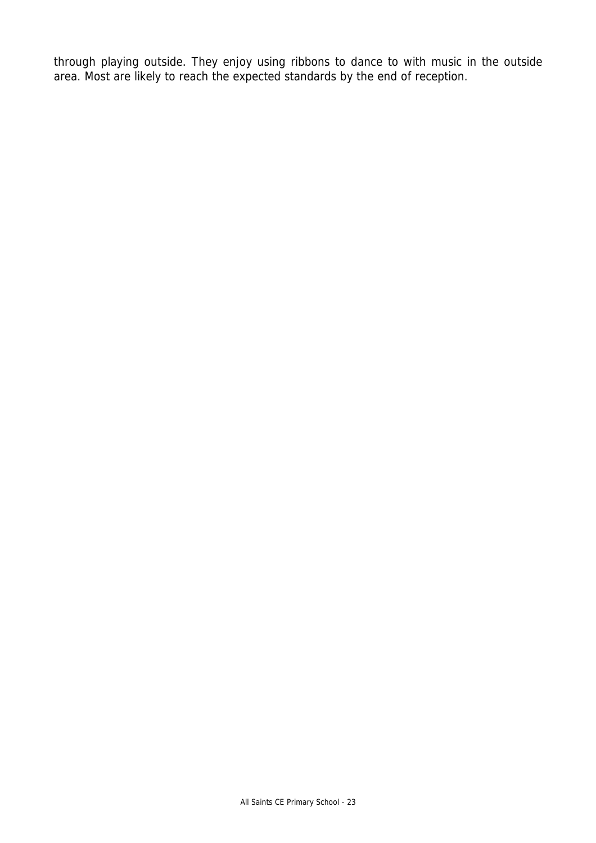through playing outside. They enjoy using ribbons to dance to with music in the outside area. Most are likely to reach the expected standards by the end of reception.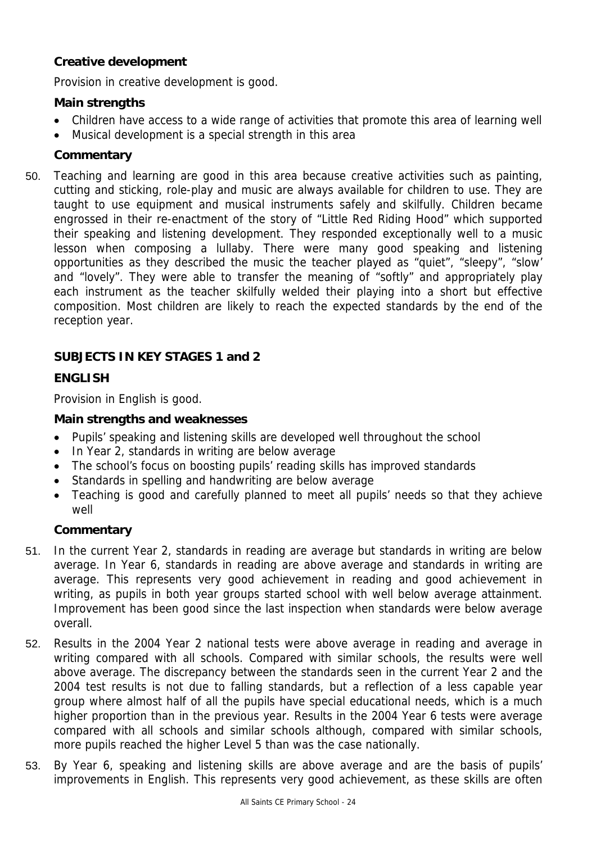# **Creative development**

Provision in creative development is good.

### **Main strengths**

- Children have access to a wide range of activities that promote this area of learning well
- Musical development is a special strength in this area

### **Commentary**

50. Teaching and learning are good in this area because creative activities such as painting, cutting and sticking, role-play and music are always available for children to use. They are taught to use equipment and musical instruments safely and skilfully. Children became engrossed in their re-enactment of the story of "Little Red Riding Hood" which supported their speaking and listening development. They responded exceptionally well to a music lesson when composing a lullaby. There were many good speaking and listening opportunities as they described the music the teacher played as "quiet", "sleepy", "slow' and "lovely". They were able to transfer the meaning of "softly" and appropriately play each instrument as the teacher skilfully welded their playing into a short but effective composition. Most children are likely to reach the expected standards by the end of the reception year.

# **SUBJECTS IN KEY STAGES 1 and 2**

# **ENGLISH**

Provision in English is good.

#### **Main strengths and weaknesses**

- Pupils' speaking and listening skills are developed well throughout the school
- In Year 2, standards in writing are below average
- The school's focus on boosting pupils' reading skills has improved standards
- Standards in spelling and handwriting are below average
- Teaching is good and carefully planned to meet all pupils' needs so that they achieve well

### **Commentary**

- 51. In the current Year 2, standards in reading are average but standards in writing are below average. In Year 6, standards in reading are above average and standards in writing are average. This represents very good achievement in reading and good achievement in writing, as pupils in both year groups started school with well below average attainment. Improvement has been good since the last inspection when standards were below average overall.
- 52. Results in the 2004 Year 2 national tests were above average in reading and average in writing compared with all schools. Compared with similar schools, the results were well above average. The discrepancy between the standards seen in the current Year 2 and the 2004 test results is not due to falling standards, but a reflection of a less capable year group where almost half of all the pupils have special educational needs, which is a much higher proportion than in the previous year. Results in the 2004 Year 6 tests were average compared with all schools and similar schools although, compared with similar schools, more pupils reached the higher Level 5 than was the case nationally.
- 53. By Year 6, speaking and listening skills are above average and are the basis of pupils' improvements in English. This represents very good achievement, as these skills are often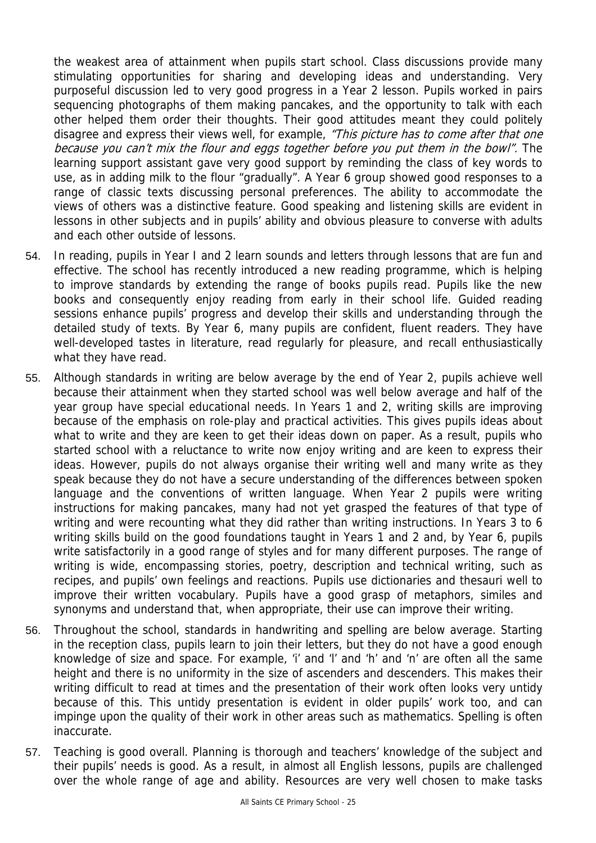the weakest area of attainment when pupils start school. Class discussions provide many stimulating opportunities for sharing and developing ideas and understanding. Very purposeful discussion led to very good progress in a Year 2 lesson. Pupils worked in pairs sequencing photographs of them making pancakes, and the opportunity to talk with each other helped them order their thoughts. Their good attitudes meant they could politely disagree and express their views well, for example, "This picture has to come after that one because you can't mix the flour and eggs together before you put them in the bowl". The learning support assistant gave very good support by reminding the class of key words to use, as in adding milk to the flour "gradually". A Year 6 group showed good responses to a range of classic texts discussing personal preferences. The ability to accommodate the views of others was a distinctive feature. Good speaking and listening skills are evident in lessons in other subjects and in pupils' ability and obvious pleasure to converse with adults and each other outside of lessons.

- 54. In reading, pupils in Year I and 2 learn sounds and letters through lessons that are fun and effective. The school has recently introduced a new reading programme, which is helping to improve standards by extending the range of books pupils read. Pupils like the new books and consequently enjoy reading from early in their school life. Guided reading sessions enhance pupils' progress and develop their skills and understanding through the detailed study of texts. By Year 6, many pupils are confident, fluent readers. They have well-developed tastes in literature, read regularly for pleasure, and recall enthusiastically what they have read.
- 55. Although standards in writing are below average by the end of Year 2, pupils achieve well because their attainment when they started school was well below average and half of the year group have special educational needs. In Years 1 and 2, writing skills are improving because of the emphasis on role-play and practical activities. This gives pupils ideas about what to write and they are keen to get their ideas down on paper. As a result, pupils who started school with a reluctance to write now enjoy writing and are keen to express their ideas. However, pupils do not always organise their writing well and many write as they speak because they do not have a secure understanding of the differences between spoken language and the conventions of written language. When Year 2 pupils were writing instructions for making pancakes, many had not yet grasped the features of that type of writing and were recounting what they did rather than writing instructions. In Years 3 to 6 writing skills build on the good foundations taught in Years 1 and 2 and, by Year 6, pupils write satisfactorily in a good range of styles and for many different purposes. The range of writing is wide, encompassing stories, poetry, description and technical writing, such as recipes, and pupils' own feelings and reactions. Pupils use dictionaries and thesauri well to improve their written vocabulary. Pupils have a good grasp of metaphors, similes and synonyms and understand that, when appropriate, their use can improve their writing.
- 56. Throughout the school, standards in handwriting and spelling are below average. Starting in the reception class, pupils learn to join their letters, but they do not have a good enough knowledge of size and space. For example, 'i' and 'l' and 'h' and 'n' are often all the same height and there is no uniformity in the size of ascenders and descenders. This makes their writing difficult to read at times and the presentation of their work often looks very untidy because of this. This untidy presentation is evident in older pupils' work too, and can impinge upon the quality of their work in other areas such as mathematics. Spelling is often inaccurate.
- 57. Teaching is good overall. Planning is thorough and teachers' knowledge of the subject and their pupils' needs is good. As a result, in almost all English lessons, pupils are challenged over the whole range of age and ability. Resources are very well chosen to make tasks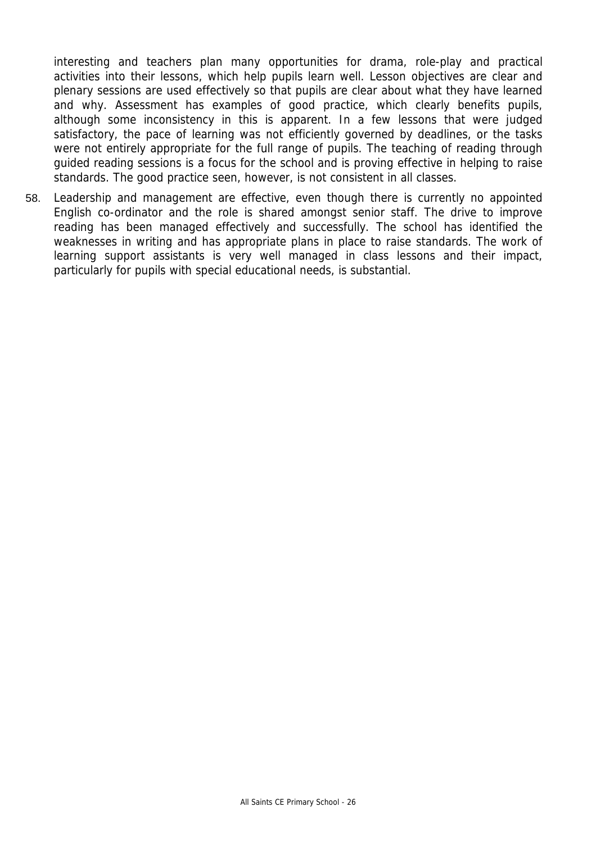interesting and teachers plan many opportunities for drama, role-play and practical activities into their lessons, which help pupils learn well. Lesson objectives are clear and plenary sessions are used effectively so that pupils are clear about what they have learned and why. Assessment has examples of good practice, which clearly benefits pupils, although some inconsistency in this is apparent. In a few lessons that were judged satisfactory, the pace of learning was not efficiently governed by deadlines, or the tasks were not entirely appropriate for the full range of pupils. The teaching of reading through guided reading sessions is a focus for the school and is proving effective in helping to raise standards. The good practice seen, however, is not consistent in all classes.

58. Leadership and management are effective, even though there is currently no appointed English co-ordinator and the role is shared amongst senior staff. The drive to improve reading has been managed effectively and successfully. The school has identified the weaknesses in writing and has appropriate plans in place to raise standards. The work of learning support assistants is very well managed in class lessons and their impact, particularly for pupils with special educational needs, is substantial.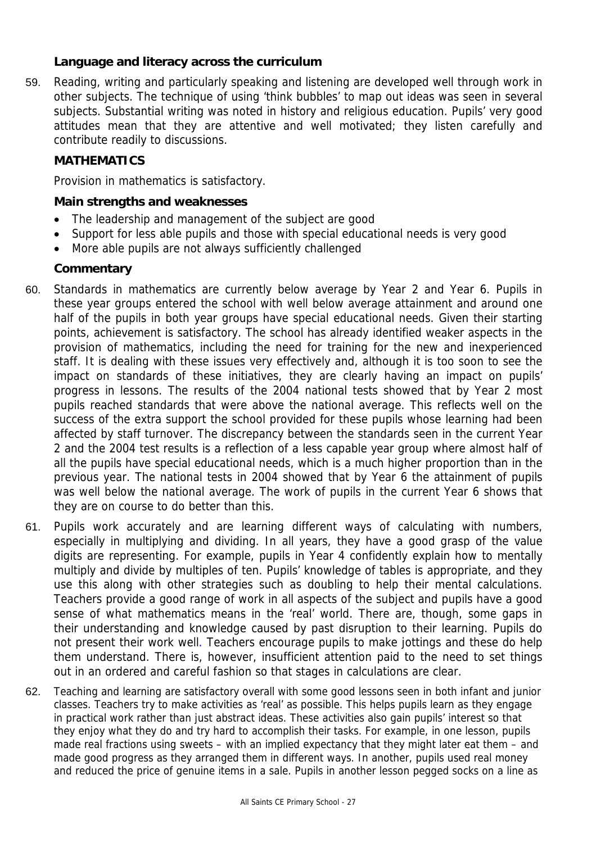## **Language and literacy across the curriculum**

59. Reading, writing and particularly speaking and listening are developed well through work in other subjects. The technique of using 'think bubbles' to map out ideas was seen in several subjects. Substantial writing was noted in history and religious education. Pupils' very good attitudes mean that they are attentive and well motivated; they listen carefully and contribute readily to discussions.

### **MATHEMATICS**

Provision in mathematics is satisfactory.

### **Main strengths and weaknesses**

- The leadership and management of the subject are good
- Support for less able pupils and those with special educational needs is very good
- More able pupils are not always sufficiently challenged

# **Commentary**

- 60. Standards in mathematics are currently below average by Year 2 and Year 6. Pupils in these year groups entered the school with well below average attainment and around one half of the pupils in both year groups have special educational needs. Given their starting points, achievement is satisfactory. The school has already identified weaker aspects in the provision of mathematics, including the need for training for the new and inexperienced staff. It is dealing with these issues very effectively and, although it is too soon to see the impact on standards of these initiatives, they are clearly having an impact on pupils' progress in lessons. The results of the 2004 national tests showed that by Year 2 most pupils reached standards that were above the national average. This reflects well on the success of the extra support the school provided for these pupils whose learning had been affected by staff turnover. The discrepancy between the standards seen in the current Year 2 and the 2004 test results is a reflection of a less capable year group where almost half of all the pupils have special educational needs, which is a much higher proportion than in the previous year. The national tests in 2004 showed that by Year 6 the attainment of pupils was well below the national average. The work of pupils in the current Year 6 shows that they are on course to do better than this.
- 61. Pupils work accurately and are learning different ways of calculating with numbers, especially in multiplying and dividing. In all years, they have a good grasp of the value digits are representing. For example, pupils in Year 4 confidently explain how to mentally multiply and divide by multiples of ten. Pupils' knowledge of tables is appropriate, and they use this along with other strategies such as doubling to help their mental calculations. Teachers provide a good range of work in all aspects of the subject and pupils have a good sense of what mathematics means in the 'real' world. There are, though, some gaps in their understanding and knowledge caused by past disruption to their learning. Pupils do not present their work well. Teachers encourage pupils to make jottings and these do help them understand. There is, however, insufficient attention paid to the need to set things out in an ordered and careful fashion so that stages in calculations are clear.
- 62. Teaching and learning are satisfactory overall with some good lessons seen in both infant and junior classes. Teachers try to make activities as 'real' as possible. This helps pupils learn as they engage in practical work rather than just abstract ideas. These activities also gain pupils' interest so that they enjoy what they do and try hard to accomplish their tasks. For example, in one lesson, pupils made real fractions using sweets – with an implied expectancy that they might later eat them – and made good progress as they arranged them in different ways. In another, pupils used real money and reduced the price of genuine items in a sale. Pupils in another lesson pegged socks on a line as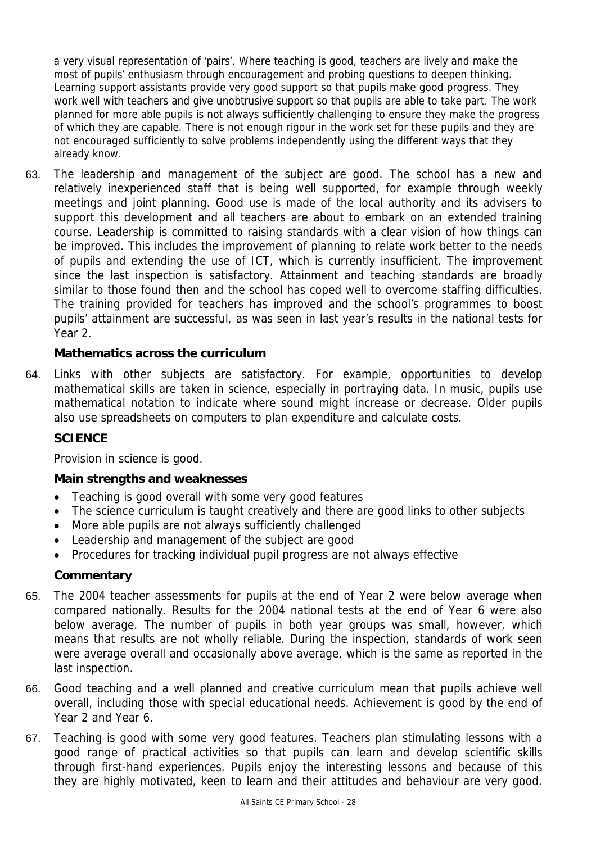a very visual representation of 'pairs'. Where teaching is good, teachers are lively and make the most of pupils' enthusiasm through encouragement and probing questions to deepen thinking. Learning support assistants provide very good support so that pupils make good progress. They work well with teachers and give unobtrusive support so that pupils are able to take part. The work planned for more able pupils is not always sufficiently challenging to ensure they make the progress of which they are capable. There is not enough rigour in the work set for these pupils and they are not encouraged sufficiently to solve problems independently using the different ways that they already know.

63. The leadership and management of the subject are good. The school has a new and relatively inexperienced staff that is being well supported, for example through weekly meetings and joint planning. Good use is made of the local authority and its advisers to support this development and all teachers are about to embark on an extended training course. Leadership is committed to raising standards with a clear vision of how things can be improved. This includes the improvement of planning to relate work better to the needs of pupils and extending the use of ICT, which is currently insufficient. The improvement since the last inspection is satisfactory. Attainment and teaching standards are broadly similar to those found then and the school has coped well to overcome staffing difficulties. The training provided for teachers has improved and the school's programmes to boost pupils' attainment are successful, as was seen in last year's results in the national tests for Year 2.

## **Mathematics across the curriculum**

64. Links with other subjects are satisfactory. For example, opportunities to develop mathematical skills are taken in science, especially in portraying data. In music, pupils use mathematical notation to indicate where sound might increase or decrease. Older pupils also use spreadsheets on computers to plan expenditure and calculate costs.

### **SCIENCE**

Provision in science is good.

### **Main strengths and weaknesses**

- Teaching is good overall with some very good features
- The science curriculum is taught creatively and there are good links to other subjects
- More able pupils are not always sufficiently challenged
- Leadership and management of the subject are good
- Procedures for tracking individual pupil progress are not always effective

### **Commentary**

- 65. The 2004 teacher assessments for pupils at the end of Year 2 were below average when compared nationally. Results for the 2004 national tests at the end of Year 6 were also below average. The number of pupils in both year groups was small, however, which means that results are not wholly reliable. During the inspection, standards of work seen were average overall and occasionally above average, which is the same as reported in the last inspection.
- 66. Good teaching and a well planned and creative curriculum mean that pupils achieve well overall, including those with special educational needs. Achievement is good by the end of Year 2 and Year 6.
- 67. Teaching is good with some very good features. Teachers plan stimulating lessons with a good range of practical activities so that pupils can learn and develop scientific skills through first-hand experiences. Pupils enjoy the interesting lessons and because of this they are highly motivated, keen to learn and their attitudes and behaviour are very good.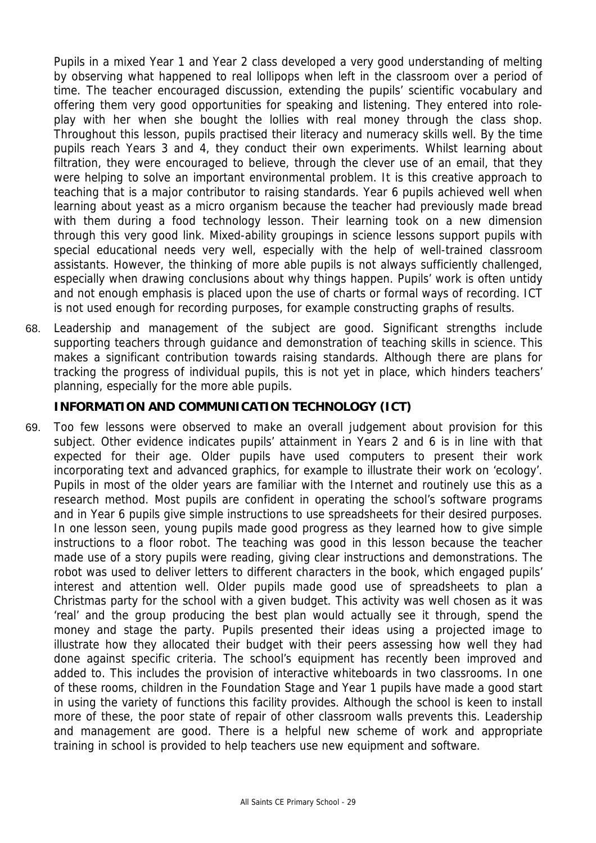Pupils in a mixed Year 1 and Year 2 class developed a very good understanding of melting by observing what happened to real lollipops when left in the classroom over a period of time. The teacher encouraged discussion, extending the pupils' scientific vocabulary and offering them very good opportunities for speaking and listening. They entered into roleplay with her when she bought the lollies with real money through the class shop. Throughout this lesson, pupils practised their literacy and numeracy skills well. By the time pupils reach Years 3 and 4, they conduct their own experiments. Whilst learning about filtration, they were encouraged to believe, through the clever use of an email, that they were helping to solve an important environmental problem. It is this creative approach to teaching that is a major contributor to raising standards. Year 6 pupils achieved well when learning about yeast as a micro organism because the teacher had previously made bread with them during a food technology lesson. Their learning took on a new dimension through this very good link. Mixed-ability groupings in science lessons support pupils with special educational needs very well, especially with the help of well-trained classroom assistants. However, the thinking of more able pupils is not always sufficiently challenged, especially when drawing conclusions about why things happen. Pupils' work is often untidy and not enough emphasis is placed upon the use of charts or formal ways of recording. ICT is not used enough for recording purposes, for example constructing graphs of results.

68. Leadership and management of the subject are good. Significant strengths include supporting teachers through guidance and demonstration of teaching skills in science. This makes a significant contribution towards raising standards. Although there are plans for tracking the progress of individual pupils, this is not yet in place, which hinders teachers' planning, especially for the more able pupils.

## **INFORMATION AND COMMUNICATION TECHNOLOGY (ICT)**

69. Too few lessons were observed to make an overall judgement about provision for this subject. Other evidence indicates pupils' attainment in Years 2 and 6 is in line with that expected for their age. Older pupils have used computers to present their work incorporating text and advanced graphics, for example to illustrate their work on 'ecology'. Pupils in most of the older years are familiar with the Internet and routinely use this as a research method. Most pupils are confident in operating the school's software programs and in Year 6 pupils give simple instructions to use spreadsheets for their desired purposes. In one lesson seen, young pupils made good progress as they learned how to give simple instructions to a floor robot. The teaching was good in this lesson because the teacher made use of a story pupils were reading, giving clear instructions and demonstrations. The robot was used to deliver letters to different characters in the book, which engaged pupils' interest and attention well. Older pupils made good use of spreadsheets to plan a Christmas party for the school with a given budget. This activity was well chosen as it was 'real' and the group producing the best plan would actually see it through, spend the money and stage the party. Pupils presented their ideas using a projected image to illustrate how they allocated their budget with their peers assessing how well they had done against specific criteria. The school's equipment has recently been improved and added to. This includes the provision of interactive whiteboards in two classrooms. In one of these rooms, children in the Foundation Stage and Year 1 pupils have made a good start in using the variety of functions this facility provides. Although the school is keen to install more of these, the poor state of repair of other classroom walls prevents this. Leadership and management are good. There is a helpful new scheme of work and appropriate training in school is provided to help teachers use new equipment and software.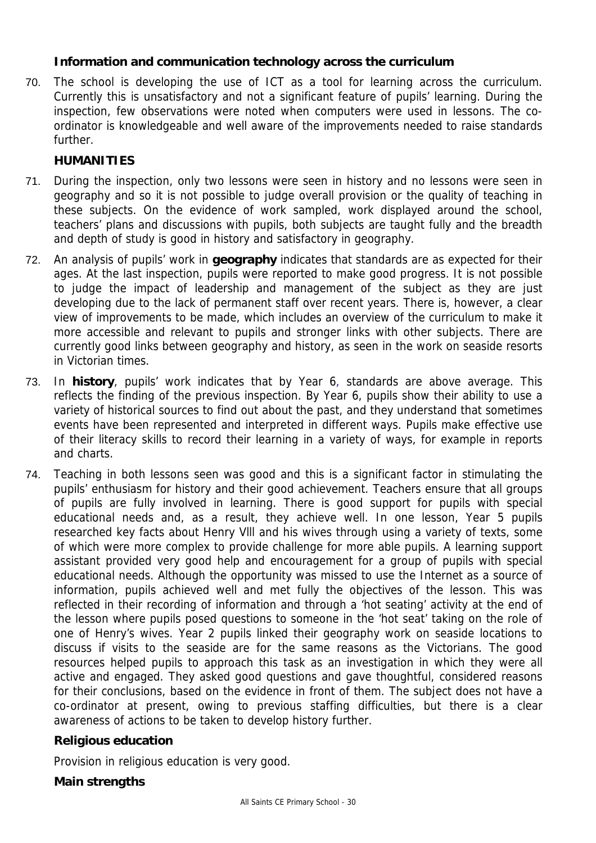# **Information and communication technology across the curriculum**

70. The school is developing the use of ICT as a tool for learning across the curriculum. Currently this is unsatisfactory and not a significant feature of pupils' learning. During the inspection, few observations were noted when computers were used in lessons. The coordinator is knowledgeable and well aware of the improvements needed to raise standards further.

### **HUMANITIES**

- 71. During the inspection, only two lessons were seen in history and no lessons were seen in geography and so it is not possible to judge overall provision or the quality of teaching in these subjects. On the evidence of work sampled, work displayed around the school, teachers' plans and discussions with pupils, both subjects are taught fully and the breadth and depth of study is good in history and satisfactory in geography.
- 72. An analysis of pupils' work in **geography** indicates that standards are as expected for their ages. At the last inspection, pupils were reported to make good progress. It is not possible to judge the impact of leadership and management of the subject as they are just developing due to the lack of permanent staff over recent years. There is, however, a clear view of improvements to be made, which includes an overview of the curriculum to make it more accessible and relevant to pupils and stronger links with other subjects. There are currently good links between geography and history, as seen in the work on seaside resorts in Victorian times.
- 73. In **history**, pupils' work indicates that by Year 6, standards are above average. This reflects the finding of the previous inspection. By Year 6, pupils show their ability to use a variety of historical sources to find out about the past, and they understand that sometimes events have been represented and interpreted in different ways. Pupils make effective use of their literacy skills to record their learning in a variety of ways, for example in reports and charts.
- 74. Teaching in both lessons seen was good and this is a significant factor in stimulating the pupils' enthusiasm for history and their good achievement. Teachers ensure that all groups of pupils are fully involved in learning. There is good support for pupils with special educational needs and, as a result, they achieve well. In one lesson, Year 5 pupils researched key facts about Henry Vlll and his wives through using a variety of texts, some of which were more complex to provide challenge for more able pupils. A learning support assistant provided very good help and encouragement for a group of pupils with special educational needs. Although the opportunity was missed to use the Internet as a source of information, pupils achieved well and met fully the objectives of the lesson. This was reflected in their recording of information and through a 'hot seating' activity at the end of the lesson where pupils posed questions to someone in the 'hot seat' taking on the role of one of Henry's wives. Year 2 pupils linked their geography work on seaside locations to discuss if visits to the seaside are for the same reasons as the Victorians. The good resources helped pupils to approach this task as an investigation in which they were all active and engaged. They asked good questions and gave thoughtful, considered reasons for their conclusions, based on the evidence in front of them. The subject does not have a co-ordinator at present, owing to previous staffing difficulties, but there is a clear awareness of actions to be taken to develop history further.

### **Religious education**

Provision in religious education is very good.

### **Main strengths**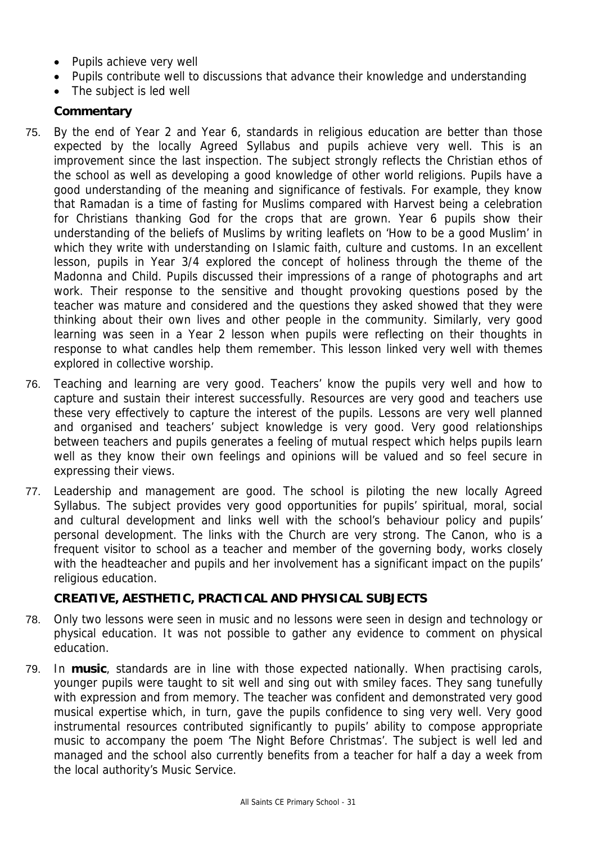- Pupils achieve very well
- Pupils contribute well to discussions that advance their knowledge and understanding
- The subject is led well

# **Commentary**

- 75. By the end of Year 2 and Year 6, standards in religious education are better than those expected by the locally Agreed Syllabus and pupils achieve very well. This is an improvement since the last inspection. The subject strongly reflects the Christian ethos of the school as well as developing a good knowledge of other world religions. Pupils have a good understanding of the meaning and significance of festivals. For example, they know that Ramadan is a time of fasting for Muslims compared with Harvest being a celebration for Christians thanking God for the crops that are grown. Year 6 pupils show their understanding of the beliefs of Muslims by writing leaflets on 'How to be a good Muslim' in which they write with understanding on Islamic faith, culture and customs. In an excellent lesson, pupils in Year 3/4 explored the concept of holiness through the theme of the Madonna and Child. Pupils discussed their impressions of a range of photographs and art work. Their response to the sensitive and thought provoking questions posed by the teacher was mature and considered and the questions they asked showed that they were thinking about their own lives and other people in the community. Similarly, very good learning was seen in a Year 2 lesson when pupils were reflecting on their thoughts in response to what candles help them remember. This lesson linked very well with themes explored in collective worship.
- 76. Teaching and learning are very good. Teachers' know the pupils very well and how to capture and sustain their interest successfully. Resources are very good and teachers use these very effectively to capture the interest of the pupils. Lessons are very well planned and organised and teachers' subject knowledge is very good. Very good relationships between teachers and pupils generates a feeling of mutual respect which helps pupils learn well as they know their own feelings and opinions will be valued and so feel secure in expressing their views.
- 77. Leadership and management are good. The school is piloting the new locally Agreed Syllabus. The subject provides very good opportunities for pupils' spiritual, moral, social and cultural development and links well with the school's behaviour policy and pupils' personal development. The links with the Church are very strong. The Canon, who is a frequent visitor to school as a teacher and member of the governing body, works closely with the headteacher and pupils and her involvement has a significant impact on the pupils' religious education.

# **CREATIVE, AESTHETIC, PRACTICAL AND PHYSICAL SUBJECTS**

- 78. Only two lessons were seen in music and no lessons were seen in design and technology or physical education. It was not possible to gather any evidence to comment on physical education.
- 79. In **music**, standards are in line with those expected nationally. When practising carols, younger pupils were taught to sit well and sing out with smiley faces. They sang tunefully with expression and from memory. The teacher was confident and demonstrated very good musical expertise which, in turn, gave the pupils confidence to sing very well. Very good instrumental resources contributed significantly to pupils' ability to compose appropriate music to accompany the poem 'The Night Before Christmas'. The subject is well led and managed and the school also currently benefits from a teacher for half a day a week from the local authority's Music Service.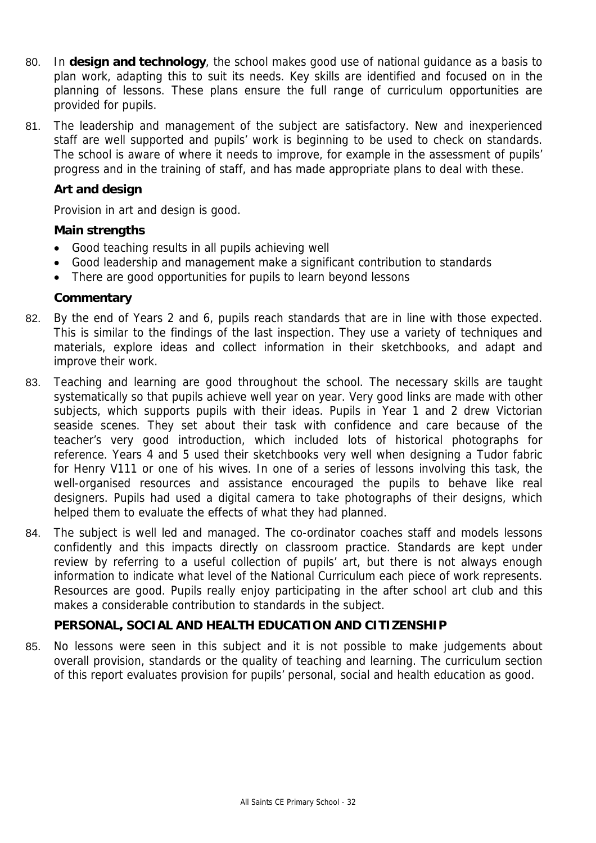- 80. In **design and technology**, the school makes good use of national guidance as a basis to plan work, adapting this to suit its needs. Key skills are identified and focused on in the planning of lessons. These plans ensure the full range of curriculum opportunities are provided for pupils.
- 81. The leadership and management of the subject are satisfactory. New and inexperienced staff are well supported and pupils' work is beginning to be used to check on standards. The school is aware of where it needs to improve, for example in the assessment of pupils' progress and in the training of staff, and has made appropriate plans to deal with these.

## **Art and design**

Provision in art and design is good.

## **Main strengths**

- Good teaching results in all pupils achieving well
- Good leadership and management make a significant contribution to standards
- There are good opportunities for pupils to learn beyond lessons

## **Commentary**

- 82. By the end of Years 2 and 6, pupils reach standards that are in line with those expected. This is similar to the findings of the last inspection. They use a variety of techniques and materials, explore ideas and collect information in their sketchbooks, and adapt and improve their work.
- 83. Teaching and learning are good throughout the school. The necessary skills are taught systematically so that pupils achieve well year on year. Very good links are made with other subjects, which supports pupils with their ideas. Pupils in Year 1 and 2 drew Victorian seaside scenes. They set about their task with confidence and care because of the teacher's very good introduction, which included lots of historical photographs for reference. Years 4 and 5 used their sketchbooks very well when designing a Tudor fabric for Henry V111 or one of his wives. In one of a series of lessons involving this task, the well-organised resources and assistance encouraged the pupils to behave like real designers. Pupils had used a digital camera to take photographs of their designs, which helped them to evaluate the effects of what they had planned.
- 84. The subject is well led and managed. The co-ordinator coaches staff and models lessons confidently and this impacts directly on classroom practice. Standards are kept under review by referring to a useful collection of pupils' art, but there is not always enough information to indicate what level of the National Curriculum each piece of work represents. Resources are good. Pupils really enjoy participating in the after school art club and this makes a considerable contribution to standards in the subject.

# **PERSONAL, SOCIAL AND HEALTH EDUCATION AND CITIZENSHIP**

85. No lessons were seen in this subject and it is not possible to make judgements about overall provision, standards or the quality of teaching and learning. The curriculum section of this report evaluates provision for pupils' personal, social and health education as good.